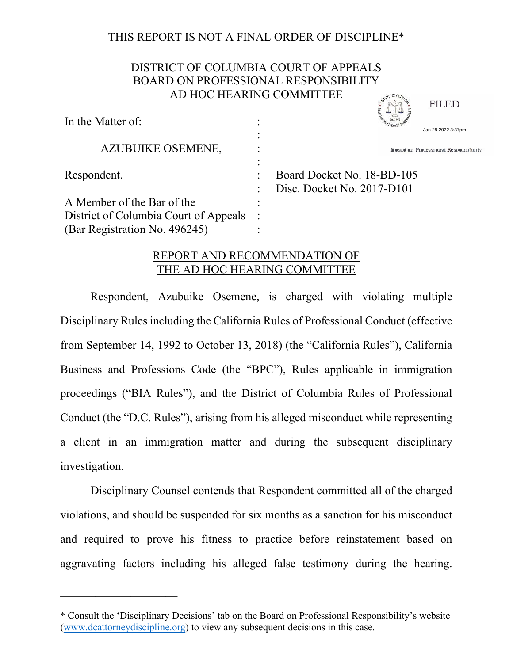## THIS REPORT IS NOT A FINAL ORDER OF DISCIPLINE\*

# DISTRICT OF COLUMBIA COURT OF APPEALS BOARD ON PROFESSIONAL RESPONSIBILITY AD HOC HEARING COMMITTEE

| In the Matter of:                     |                                      |
|---------------------------------------|--------------------------------------|
|                                       | Jan 28 2022 3:37pm                   |
| AZUBUIKE OSEMENE,                     | Board on Professional Responsibility |
|                                       |                                      |
| Respondent.                           | Board Docket No. 18-BD-105           |
|                                       | Disc. Docket No. 2017-D101           |
| A Member of the Bar of the            |                                      |
| District of Columbia Court of Appeals |                                      |
| (Bar Registration No. 496245)         |                                      |

### REPORT AND RECOMMENDATION OF THE AD HOC HEARING COMMITTEE

Respondent, Azubuike Osemene, is charged with violating multiple Disciplinary Rules including the California Rules of Professional Conduct (effective from September 14, 1992 to October 13, 2018) (the "California Rules"), California Business and Professions Code (the "BPC"), Rules applicable in immigration proceedings ("BIA Rules"), and the District of Columbia Rules of Professional Conduct (the "D.C. Rules"), arising from his alleged misconduct while representing a client in an immigration matter and during the subsequent disciplinary investigation. and Barticles of the Barticles of the SEMENN:<br>
AZUBUIKE OSEMENE,<br>
ARENDOCATE THE TREND FOR THE TREND FOR THE TREND AN Member of the Bar of the<br>
19 Expected For all Disc. Docket No. 2017-D101<br>
A Member of the Bar of the<br>
19

Disciplinary Counsel contends that Respondent committed all of the charged violations, and should be suspended for six months as a sanction for his misconduct and required to prove his fitness to practice before reinstatement based on

——————————

<sup>\*</sup> Consult the 'Disciplinary Decisions' tab on the Board on Professional Responsibility's website (www.dcattorneydiscipline.org) to view any subsequent decisions in this case.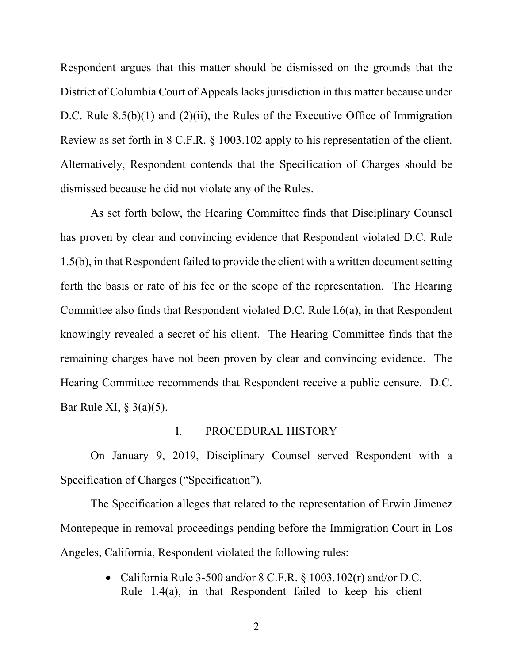Respondent argues that this matter should be dismissed on the grounds that the District of Columbia Court of Appeals lacks jurisdiction in this matter because under D.C. Rule  $8.5(b)(1)$  and  $(2)(ii)$ , the Rules of the Executive Office of Immigration Review as set forth in 8 C.F.R. § 1003.102 apply to his representation of the client. Alternatively, Respondent contends that the Specification of Charges should be dismissed because he did not violate any of the Rules.

As set forth below, the Hearing Committee finds that Disciplinary Counsel has proven by clear and convincing evidence that Respondent violated D.C. Rule 1.5(b), in that Respondent failed to provide the client with a written document setting forth the basis or rate of his fee or the scope of the representation. The Hearing Committee also finds that Respondent violated D.C. Rule l.6(a), in that Respondent knowingly revealed a secret of his client. The Hearing Committee finds that the remaining charges have not been proven by clear and convincing evidence. The Hearing Committee recommends that Respondent receive a public censure. D.C. Bar Rule XI, § 3(a)(5).

#### I. PROCEDURAL HISTORY

On January 9, 2019, Disciplinary Counsel served Respondent with a Specification of Charges ("Specification").

The Specification alleges that related to the representation of Erwin Jimenez Montepeque in removal proceedings pending before the Immigration Court in Los Angeles, California, Respondent violated the following rules:

> California Rule 3-500 and/or 8 C.F.R. § 1003.102(r) and/or D.C. Rule 1.4(a), in that Respondent failed to keep his client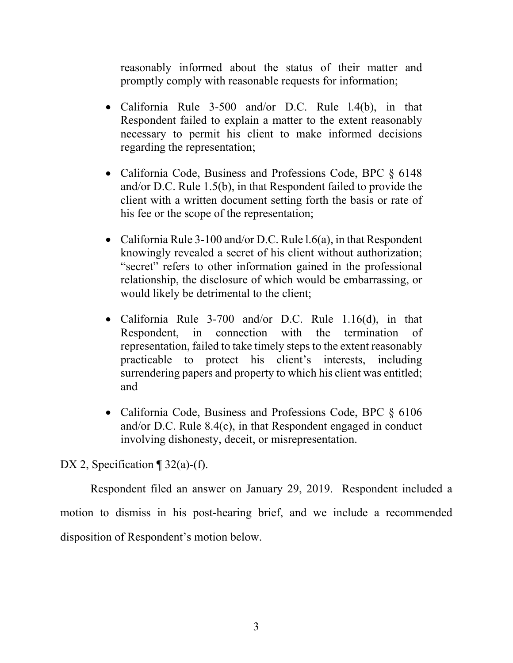reasonably informed about the status of their matter and promptly comply with reasonable requests for information;

- California Rule 3-500 and/or D.C. Rule l.4(b), in that Respondent failed to explain a matter to the extent reasonably necessary to permit his client to make informed decisions regarding the representation;
- California Code, Business and Professions Code, BPC  $\S$  6148 and/or D.C. Rule 1.5(b), in that Respondent failed to provide the client with a written document setting forth the basis or rate of his fee or the scope of the representation;
- California Rule 3-100 and/or D.C. Rule  $1.6(a)$ , in that Respondent knowingly revealed a secret of his client without authorization; "secret" refers to other information gained in the professional relationship, the disclosure of which would be embarrassing, or would likely be detrimental to the client;
- California Rule 3-700 and/or D.C. Rule 1.16(d), in that Respondent, in connection with the termination of representation, failed to take timely steps to the extent reasonably practicable to protect his client's interests, including surrendering papers and property to which his client was entitled; and
- California Code, Business and Professions Code, BPC § 6106 and/or D.C. Rule 8.4(c), in that Respondent engaged in conduct involving dishonesty, deceit, or misrepresentation.

DX 2, Specification  $\P$  32(a)-(f).

Respondent filed an answer on January 29, 2019. Respondent included a motion to dismiss in his post-hearing brief, and we include a recommended disposition of Respondent's motion below.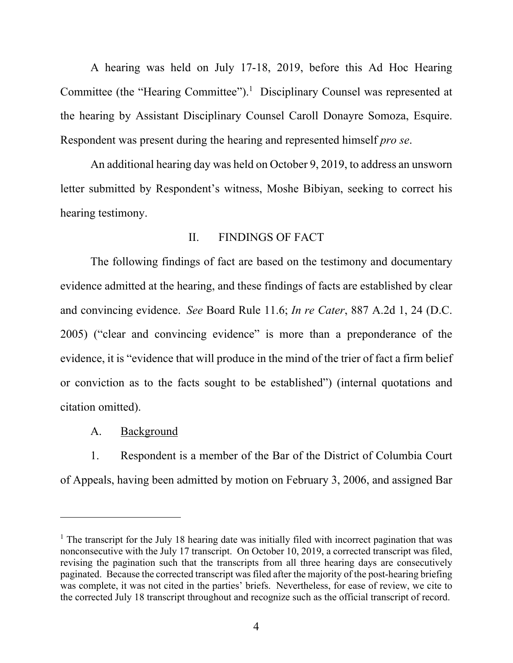A hearing was held on July 17-18, 2019, before this Ad Hoc Hearing Committee (the "Hearing Committee").<sup>1</sup> Disciplinary Counsel was represented at the hearing by Assistant Disciplinary Counsel Caroll Donayre Somoza, Esquire. Respondent was present during the hearing and represented himself *pro se*.

An additional hearing day was held on October 9, 2019, to address an unsworn letter submitted by Respondent's witness, Moshe Bibiyan, seeking to correct his hearing testimony.

#### II. FINDINGS OF FACT

The following findings of fact are based on the testimony and documentary evidence admitted at the hearing, and these findings of facts are established by clear and convincing evidence. *See* Board Rule 11.6; *In re Cater*, 887 A.2d 1, 24 (D.C. 2005) ("clear and convincing evidence" is more than a preponderance of the evidence, it is "evidence that will produce in the mind of the trier of fact a firm belief or conviction as to the facts sought to be established") (internal quotations and citation omitted).

#### A. Background

 1. Respondent is a member of the Bar of the District of Columbia Court of Appeals, having been admitted by motion on February 3, 2006, and assigned Bar

<sup>&</sup>lt;sup>1</sup> The transcript for the July 18 hearing date was initially filed with incorrect pagination that was nonconsecutive with the July 17 transcript. On October 10, 2019, a corrected transcript was filed, revising the pagination such that the transcripts from all three hearing days are consecutively paginated. Because the corrected transcript was filed after the majority of the post-hearing briefing was complete, it was not cited in the parties' briefs. Nevertheless, for ease of review, we cite to the corrected July 18 transcript throughout and recognize such as the official transcript of record.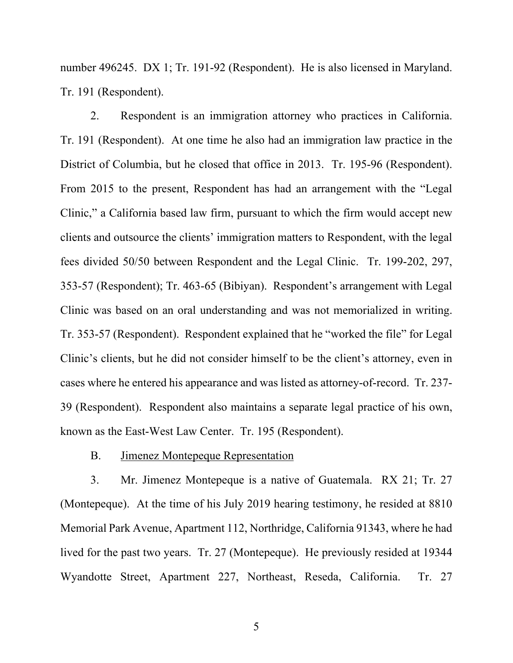number 496245. DX 1; Tr. 191-92 (Respondent). He is also licensed in Maryland. Tr. 191 (Respondent).

 2. Respondent is an immigration attorney who practices in California. Tr. 191 (Respondent). At one time he also had an immigration law practice in the District of Columbia, but he closed that office in 2013. Tr. 195-96 (Respondent). From 2015 to the present, Respondent has had an arrangement with the "Legal Clinic," a California based law firm, pursuant to which the firm would accept new clients and outsource the clients' immigration matters to Respondent, with the legal fees divided 50/50 between Respondent and the Legal Clinic. Tr. 199-202, 297, 353-57 (Respondent); Tr. 463-65 (Bibiyan). Respondent's arrangement with Legal Clinic was based on an oral understanding and was not memorialized in writing. Tr. 353-57 (Respondent). Respondent explained that he "worked the file" for Legal Clinic's clients, but he did not consider himself to be the client's attorney, even in cases where he entered his appearance and was listed as attorney-of-record. Tr. 237- 39 (Respondent). Respondent also maintains a separate legal practice of his own, known as the East-West Law Center. Tr. 195 (Respondent).

#### B. Jimenez Montepeque Representation

3. Mr. Jimenez Montepeque is a native of Guatemala. RX 21; Tr. 27 (Montepeque). At the time of his July 2019 hearing testimony, he resided at 8810 Memorial Park Avenue, Apartment 112, Northridge, California 91343, where he had lived for the past two years. Tr. 27 (Montepeque). He previously resided at 19344 Wyandotte Street, Apartment 227, Northeast, Reseda, California. Tr. 27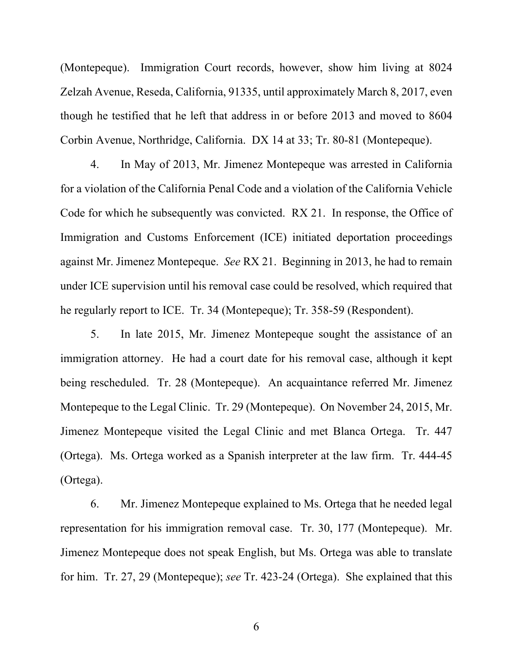(Montepeque). Immigration Court records, however, show him living at 8024 Zelzah Avenue, Reseda, California, 91335, until approximately March 8, 2017, even though he testified that he left that address in or before 2013 and moved to 8604 Corbin Avenue, Northridge, California. DX 14 at 33; Tr. 80-81 (Montepeque).

4. In May of 2013, Mr. Jimenez Montepeque was arrested in California for a violation of the California Penal Code and a violation of the California Vehicle Code for which he subsequently was convicted. RX 21. In response, the Office of Immigration and Customs Enforcement (ICE) initiated deportation proceedings against Mr. Jimenez Montepeque. *See* RX 21. Beginning in 2013, he had to remain under ICE supervision until his removal case could be resolved, which required that he regularly report to ICE. Tr. 34 (Montepeque); Tr. 358-59 (Respondent).

5. In late 2015, Mr. Jimenez Montepeque sought the assistance of an immigration attorney. He had a court date for his removal case, although it kept being rescheduled. Tr. 28 (Montepeque). An acquaintance referred Mr. Jimenez Montepeque to the Legal Clinic. Tr. 29 (Montepeque). On November 24, 2015, Mr. Jimenez Montepeque visited the Legal Clinic and met Blanca Ortega. Tr. 447 (Ortega). Ms. Ortega worked as a Spanish interpreter at the law firm. Tr. 444-45 (Ortega).

 6. Mr. Jimenez Montepeque explained to Ms. Ortega that he needed legal representation for his immigration removal case. Tr. 30, 177 (Montepeque). Mr. Jimenez Montepeque does not speak English, but Ms. Ortega was able to translate for him. Tr. 27, 29 (Montepeque); *see* Tr. 423-24 (Ortega). She explained that this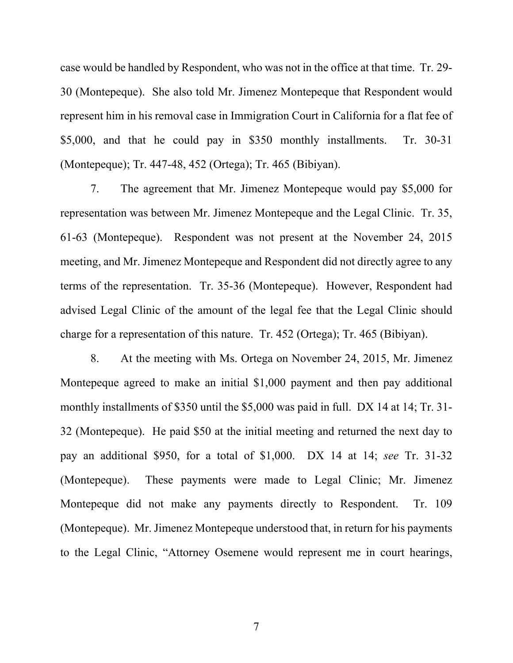case would be handled by Respondent, who was not in the office at that time. Tr. 29- 30 (Montepeque). She also told Mr. Jimenez Montepeque that Respondent would represent him in his removal case in Immigration Court in California for a flat fee of \$5,000, and that he could pay in \$350 monthly installments. Tr. 30-31 (Montepeque); Tr. 447-48, 452 (Ortega); Tr. 465 (Bibiyan).

 7. The agreement that Mr. Jimenez Montepeque would pay \$5,000 for representation was between Mr. Jimenez Montepeque and the Legal Clinic. Tr. 35, 61-63 (Montepeque). Respondent was not present at the November 24, 2015 meeting, and Mr. Jimenez Montepeque and Respondent did not directly agree to any terms of the representation. Tr. 35-36 (Montepeque). However, Respondent had advised Legal Clinic of the amount of the legal fee that the Legal Clinic should charge for a representation of this nature. Tr. 452 (Ortega); Tr. 465 (Bibiyan).

8. At the meeting with Ms. Ortega on November 24, 2015, Mr. Jimenez Montepeque agreed to make an initial \$1,000 payment and then pay additional monthly installments of \$350 until the \$5,000 was paid in full. DX 14 at 14; Tr. 31- 32 (Montepeque). He paid \$50 at the initial meeting and returned the next day to pay an additional \$950, for a total of \$1,000. DX 14 at 14; *see* Tr. 31-32 (Montepeque). These payments were made to Legal Clinic; Mr. Jimenez Montepeque did not make any payments directly to Respondent. Tr. 109 (Montepeque). Mr. Jimenez Montepeque understood that, in return for his payments to the Legal Clinic, "Attorney Osemene would represent me in court hearings,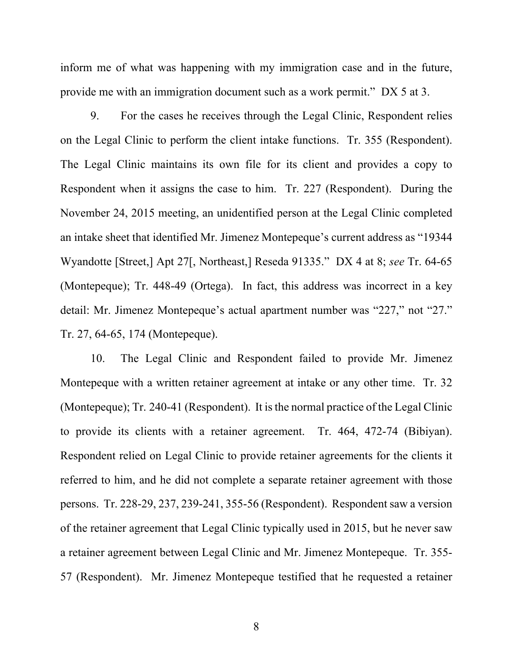inform me of what was happening with my immigration case and in the future, provide me with an immigration document such as a work permit." DX 5 at 3.

9. For the cases he receives through the Legal Clinic, Respondent relies on the Legal Clinic to perform the client intake functions. Tr. 355 (Respondent). The Legal Clinic maintains its own file for its client and provides a copy to Respondent when it assigns the case to him. Tr. 227 (Respondent). During the November 24, 2015 meeting, an unidentified person at the Legal Clinic completed an intake sheet that identified Mr. Jimenez Montepeque's current address as "19344 Wyandotte [Street,] Apt 27[, Northeast,] Reseda 91335." DX 4 at 8; *see* Tr. 64-65 (Montepeque); Tr. 448-49 (Ortega). In fact, this address was incorrect in a key detail: Mr. Jimenez Montepeque's actual apartment number was "227," not "27." Tr. 27, 64-65, 174 (Montepeque).

10. The Legal Clinic and Respondent failed to provide Mr. Jimenez Montepeque with a written retainer agreement at intake or any other time. Tr. 32 (Montepeque); Tr. 240-41 (Respondent). It is the normal practice of the Legal Clinic to provide its clients with a retainer agreement. Tr. 464, 472-74 (Bibiyan). Respondent relied on Legal Clinic to provide retainer agreements for the clients it referred to him, and he did not complete a separate retainer agreement with those persons. Tr. 228-29, 237, 239-241, 355-56 (Respondent). Respondent saw a version of the retainer agreement that Legal Clinic typically used in 2015, but he never saw a retainer agreement between Legal Clinic and Mr. Jimenez Montepeque. Tr. 355- 57 (Respondent). Mr. Jimenez Montepeque testified that he requested a retainer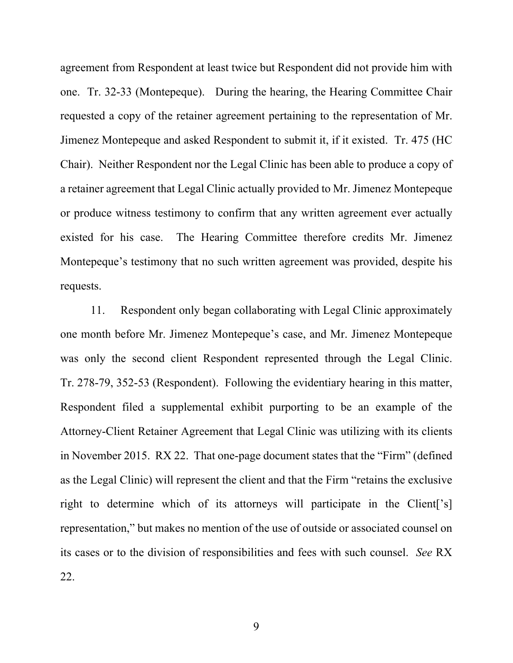agreement from Respondent at least twice but Respondent did not provide him with one. Tr. 32-33 (Montepeque). During the hearing, the Hearing Committee Chair requested a copy of the retainer agreement pertaining to the representation of Mr. Jimenez Montepeque and asked Respondent to submit it, if it existed. Tr. 475 (HC Chair). Neither Respondent nor the Legal Clinic has been able to produce a copy of a retainer agreement that Legal Clinic actually provided to Mr. Jimenez Montepeque or produce witness testimony to confirm that any written agreement ever actually existed for his case. The Hearing Committee therefore credits Mr. Jimenez Montepeque's testimony that no such written agreement was provided, despite his requests.

11. Respondent only began collaborating with Legal Clinic approximately one month before Mr. Jimenez Montepeque's case, and Mr. Jimenez Montepeque was only the second client Respondent represented through the Legal Clinic. Tr. 278-79, 352-53 (Respondent). Following the evidentiary hearing in this matter, Respondent filed a supplemental exhibit purporting to be an example of the Attorney-Client Retainer Agreement that Legal Clinic was utilizing with its clients in November 2015. RX 22. That one-page document states that the "Firm" (defined as the Legal Clinic) will represent the client and that the Firm "retains the exclusive right to determine which of its attorneys will participate in the Client<sup>['s]</sup> representation," but makes no mention of the use of outside or associated counsel on its cases or to the division of responsibilities and fees with such counsel. *See* RX 22.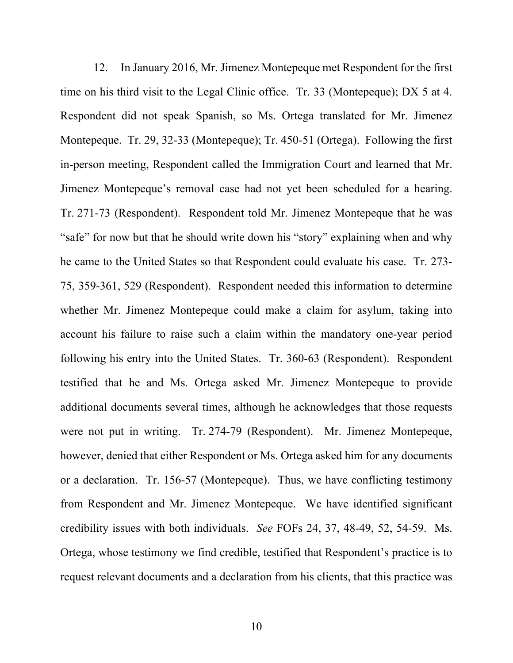12. In January 2016, Mr. Jimenez Montepeque met Respondent for the first time on his third visit to the Legal Clinic office. Tr. 33 (Montepeque); DX 5 at 4. Respondent did not speak Spanish, so Ms. Ortega translated for Mr. Jimenez Montepeque. Tr. 29, 32-33 (Montepeque); Tr. 450-51 (Ortega). Following the first in-person meeting, Respondent called the Immigration Court and learned that Mr. Jimenez Montepeque's removal case had not yet been scheduled for a hearing. Tr. 271-73 (Respondent). Respondent told Mr. Jimenez Montepeque that he was "safe" for now but that he should write down his "story" explaining when and why he came to the United States so that Respondent could evaluate his case. Tr. 273- 75, 359-361, 529 (Respondent). Respondent needed this information to determine whether Mr. Jimenez Montepeque could make a claim for asylum, taking into account his failure to raise such a claim within the mandatory one-year period following his entry into the United States. Tr. 360-63 (Respondent). Respondent testified that he and Ms. Ortega asked Mr. Jimenez Montepeque to provide additional documents several times, although he acknowledges that those requests were not put in writing. Tr. 274-79 (Respondent). Mr. Jimenez Montepeque, however, denied that either Respondent or Ms. Ortega asked him for any documents or a declaration. Tr. 156-57 (Montepeque). Thus, we have conflicting testimony from Respondent and Mr. Jimenez Montepeque. We have identified significant credibility issues with both individuals. *See* FOFs 24, 37, 48-49, 52, 54-59. Ms. Ortega, whose testimony we find credible, testified that Respondent's practice is to request relevant documents and a declaration from his clients, that this practice was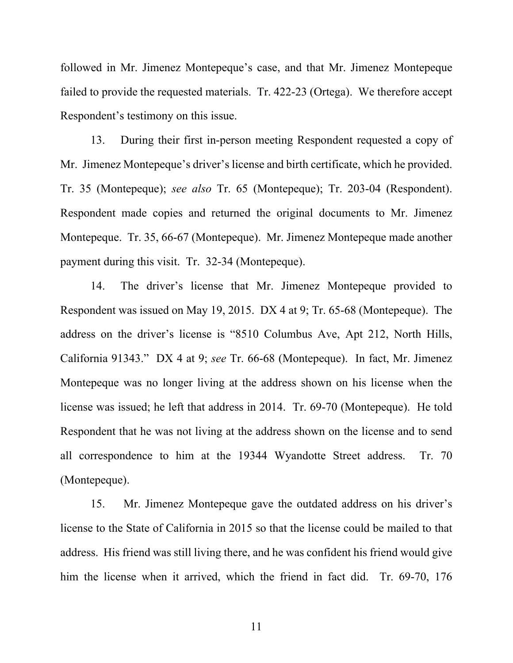followed in Mr. Jimenez Montepeque's case, and that Mr. Jimenez Montepeque failed to provide the requested materials. Tr. 422-23 (Ortega). We therefore accept Respondent's testimony on this issue.

13. During their first in-person meeting Respondent requested a copy of Mr. Jimenez Montepeque's driver's license and birth certificate, which he provided. Tr. 35 (Montepeque); *see also* Tr. 65 (Montepeque); Tr. 203-04 (Respondent). Respondent made copies and returned the original documents to Mr. Jimenez Montepeque. Tr. 35, 66-67 (Montepeque). Mr. Jimenez Montepeque made another payment during this visit. Tr. 32-34 (Montepeque).

14. The driver's license that Mr. Jimenez Montepeque provided to Respondent was issued on May 19, 2015. DX 4 at 9; Tr. 65-68 (Montepeque). The address on the driver's license is "8510 Columbus Ave, Apt 212, North Hills, California 91343." DX 4 at 9; *see* Tr. 66-68 (Montepeque). In fact, Mr. Jimenez Montepeque was no longer living at the address shown on his license when the license was issued; he left that address in 2014. Tr. 69-70 (Montepeque). He told Respondent that he was not living at the address shown on the license and to send all correspondence to him at the 19344 Wyandotte Street address. Tr. 70 (Montepeque).

15. Mr. Jimenez Montepeque gave the outdated address on his driver's license to the State of California in 2015 so that the license could be mailed to that address. His friend was still living there, and he was confident his friend would give him the license when it arrived, which the friend in fact did. Tr. 69-70, 176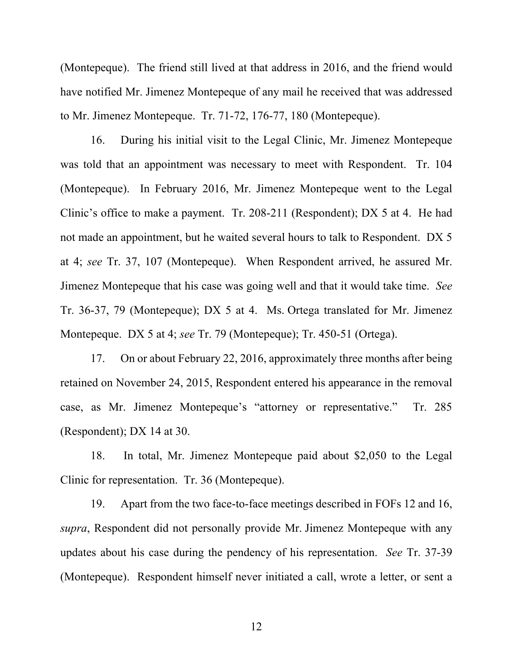(Montepeque). The friend still lived at that address in 2016, and the friend would have notified Mr. Jimenez Montepeque of any mail he received that was addressed to Mr. Jimenez Montepeque. Tr. 71-72, 176-77, 180 (Montepeque).

16. During his initial visit to the Legal Clinic, Mr. Jimenez Montepeque was told that an appointment was necessary to meet with Respondent. Tr. 104 (Montepeque). In February 2016, Mr. Jimenez Montepeque went to the Legal Clinic's office to make a payment. Tr. 208-211 (Respondent); DX 5 at 4. He had not made an appointment, but he waited several hours to talk to Respondent. DX 5 at 4; *see* Tr. 37, 107 (Montepeque). When Respondent arrived, he assured Mr. Jimenez Montepeque that his case was going well and that it would take time. *See*  Tr. 36-37, 79 (Montepeque); DX 5 at 4. Ms. Ortega translated for Mr. Jimenez Montepeque. DX 5 at 4; *see* Tr. 79 (Montepeque); Tr. 450-51 (Ortega).

17. On or about February 22, 2016, approximately three months after being retained on November 24, 2015, Respondent entered his appearance in the removal case, as Mr. Jimenez Montepeque's "attorney or representative." Tr. 285 (Respondent); DX 14 at 30.

18. In total, Mr. Jimenez Montepeque paid about \$2,050 to the Legal Clinic for representation. Tr. 36 (Montepeque).

19. Apart from the two face-to-face meetings described in FOFs 12 and 16, *supra*, Respondent did not personally provide Mr. Jimenez Montepeque with any updates about his case during the pendency of his representation. *See* Tr. 37-39 (Montepeque). Respondent himself never initiated a call, wrote a letter, or sent a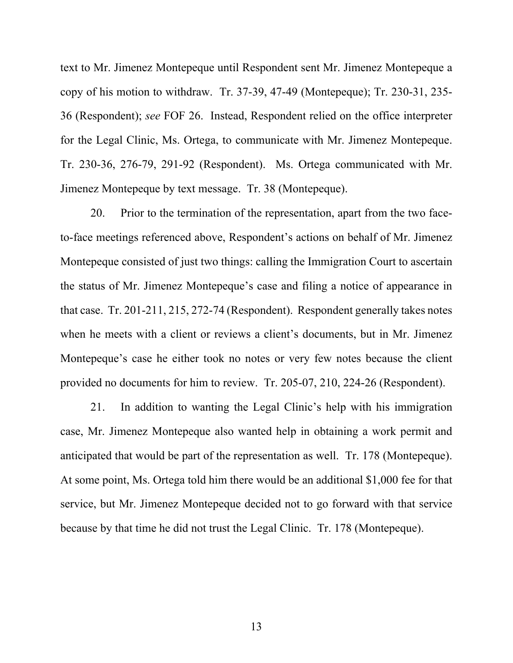text to Mr. Jimenez Montepeque until Respondent sent Mr. Jimenez Montepeque a copy of his motion to withdraw. Tr. 37-39, 47-49 (Montepeque); Tr. 230-31, 235- 36 (Respondent); *see* FOF 26. Instead, Respondent relied on the office interpreter for the Legal Clinic, Ms. Ortega, to communicate with Mr. Jimenez Montepeque. Tr. 230-36, 276-79, 291-92 (Respondent). Ms. Ortega communicated with Mr. Jimenez Montepeque by text message. Tr. 38 (Montepeque).

20. Prior to the termination of the representation, apart from the two faceto-face meetings referenced above, Respondent's actions on behalf of Mr. Jimenez Montepeque consisted of just two things: calling the Immigration Court to ascertain the status of Mr. Jimenez Montepeque's case and filing a notice of appearance in that case. Tr. 201-211, 215, 272-74 (Respondent). Respondent generally takes notes when he meets with a client or reviews a client's documents, but in Mr. Jimenez Montepeque's case he either took no notes or very few notes because the client provided no documents for him to review. Tr. 205-07, 210, 224-26 (Respondent).

21. In addition to wanting the Legal Clinic's help with his immigration case, Mr. Jimenez Montepeque also wanted help in obtaining a work permit and anticipated that would be part of the representation as well. Tr. 178 (Montepeque). At some point, Ms. Ortega told him there would be an additional \$1,000 fee for that service, but Mr. Jimenez Montepeque decided not to go forward with that service because by that time he did not trust the Legal Clinic. Tr. 178 (Montepeque).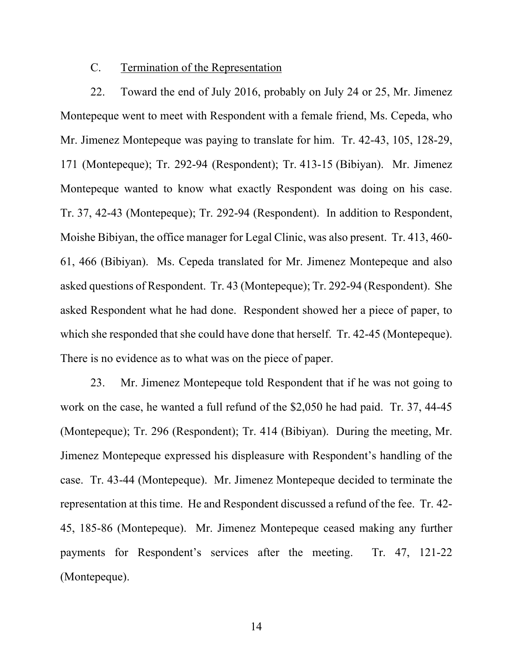### C. Termination of the Representation

22. Toward the end of July 2016, probably on July 24 or 25, Mr. Jimenez Montepeque went to meet with Respondent with a female friend, Ms. Cepeda, who Mr. Jimenez Montepeque was paying to translate for him. Tr. 42-43, 105, 128-29, 171 (Montepeque); Tr. 292-94 (Respondent); Tr. 413-15 (Bibiyan). Mr. Jimenez Montepeque wanted to know what exactly Respondent was doing on his case. Tr. 37, 42-43 (Montepeque); Tr. 292-94 (Respondent). In addition to Respondent, Moishe Bibiyan, the office manager for Legal Clinic, was also present. Tr. 413, 460- 61, 466 (Bibiyan). Ms. Cepeda translated for Mr. Jimenez Montepeque and also asked questions of Respondent. Tr. 43 (Montepeque); Tr. 292-94 (Respondent). She asked Respondent what he had done. Respondent showed her a piece of paper, to which she responded that she could have done that herself. Tr. 42-45 (Montepeque). There is no evidence as to what was on the piece of paper.

23. Mr. Jimenez Montepeque told Respondent that if he was not going to work on the case, he wanted a full refund of the \$2,050 he had paid. Tr. 37, 44-45 (Montepeque); Tr. 296 (Respondent); Tr. 414 (Bibiyan). During the meeting, Mr. Jimenez Montepeque expressed his displeasure with Respondent's handling of the case. Tr. 43-44 (Montepeque). Mr. Jimenez Montepeque decided to terminate the representation at this time. He and Respondent discussed a refund of the fee. Tr. 42- 45, 185-86 (Montepeque). Mr. Jimenez Montepeque ceased making any further payments for Respondent's services after the meeting. Tr. 47, 121-22 (Montepeque).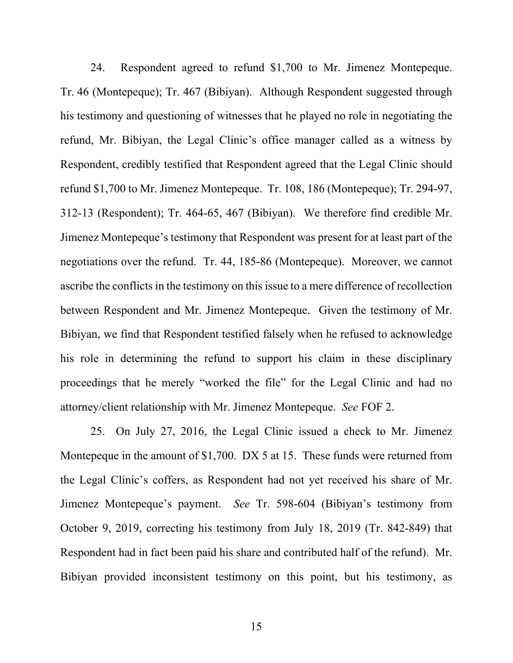24. Respondent agreed to refund \$1,700 to Mr. Jimenez Montepeque. Tr. 46 (Montepeque); Tr. 467 (Bibiyan). Although Respondent suggested through his testimony and questioning of witnesses that he played no role in negotiating the refund, Mr. Bibiyan, the Legal Clinic's office manager called as a witness by Respondent, credibly testified that Respondent agreed that the Legal Clinic should refund \$1,700 to Mr. Jimenez Montepeque. Tr. 108, 186 (Montepeque); Tr. 294-97, 312-13 (Respondent); Tr. 464-65, 467 (Bibiyan). We therefore find credible Mr. Jimenez Montepeque's testimony that Respondent was present for at least part of the negotiations over the refund. Tr. 44, 185-86 (Montepeque). Moreover, we cannot ascribe the conflicts in the testimony on this issue to a mere difference of recollection between Respondent and Mr. Jimenez Montepeque. Given the testimony of Mr. Bibiyan, we find that Respondent testified falsely when he refused to acknowledge his role in determining the refund to support his claim in these disciplinary proceedings that he merely "worked the file" for the Legal Clinic and had no attorney/client relationship with Mr. Jimenez Montepeque. *See* FOF 2.

25. On July 27, 2016, the Legal Clinic issued a check to Mr. Jimenez Montepeque in the amount of \$1,700. DX 5 at 15. These funds were returned from the Legal Clinic's coffers, as Respondent had not yet received his share of Mr. Jimenez Montepeque's payment. *See* Tr. 598-604 (Bibiyan's testimony from October 9, 2019, correcting his testimony from July 18, 2019 (Tr. 842-849) that Respondent had in fact been paid his share and contributed half of the refund). Mr. Bibiyan provided inconsistent testimony on this point, but his testimony, as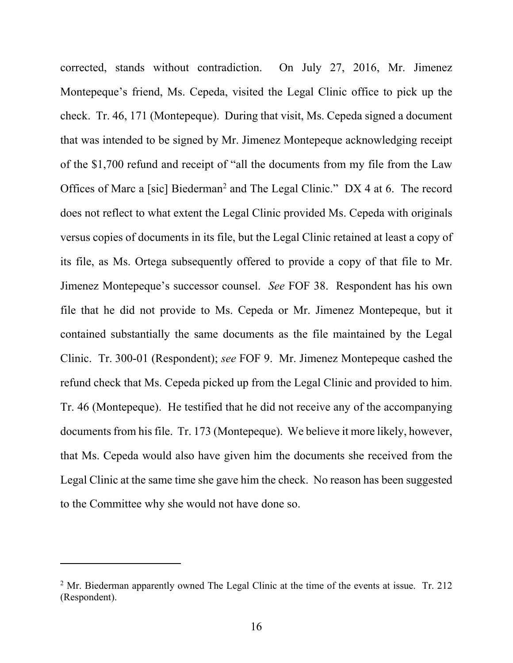corrected, stands without contradiction. On July 27, 2016, Mr. Jimenez Montepeque's friend, Ms. Cepeda, visited the Legal Clinic office to pick up the check. Tr. 46, 171 (Montepeque). During that visit, Ms. Cepeda signed a document that was intended to be signed by Mr. Jimenez Montepeque acknowledging receipt of the \$1,700 refund and receipt of "all the documents from my file from the Law Offices of Marc a [sic] Biederman<sup>2</sup> and The Legal Clinic." DX 4 at 6. The record does not reflect to what extent the Legal Clinic provided Ms. Cepeda with originals versus copies of documents in its file, but the Legal Clinic retained at least a copy of its file, as Ms. Ortega subsequently offered to provide a copy of that file to Mr. Jimenez Montepeque's successor counsel. *See* FOF 38. Respondent has his own file that he did not provide to Ms. Cepeda or Mr. Jimenez Montepeque, but it contained substantially the same documents as the file maintained by the Legal Clinic. Tr. 300-01 (Respondent); *see* FOF 9. Mr. Jimenez Montepeque cashed the refund check that Ms. Cepeda picked up from the Legal Clinic and provided to him. Tr. 46 (Montepeque). He testified that he did not receive any of the accompanying documents from his file. Tr. 173 (Montepeque). We believe it more likely, however, that Ms. Cepeda would also have given him the documents she received from the Legal Clinic at the same time she gave him the check. No reason has been suggested to the Committee why she would not have done so.

 $2^2$  Mr. Biederman apparently owned The Legal Clinic at the time of the events at issue. Tr. 212 (Respondent).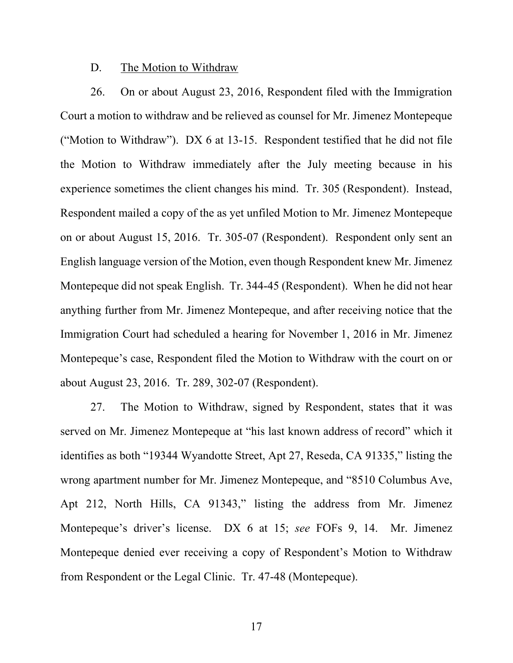#### D. The Motion to Withdraw

26. On or about August 23, 2016, Respondent filed with the Immigration Court a motion to withdraw and be relieved as counsel for Mr. Jimenez Montepeque ("Motion to Withdraw"). DX 6 at 13-15. Respondent testified that he did not file the Motion to Withdraw immediately after the July meeting because in his experience sometimes the client changes his mind. Tr. 305 (Respondent). Instead, Respondent mailed a copy of the as yet unfiled Motion to Mr. Jimenez Montepeque on or about August 15, 2016. Tr. 305-07 (Respondent). Respondent only sent an English language version of the Motion, even though Respondent knew Mr. Jimenez Montepeque did not speak English. Tr. 344-45 (Respondent). When he did not hear anything further from Mr. Jimenez Montepeque, and after receiving notice that the Immigration Court had scheduled a hearing for November 1, 2016 in Mr. Jimenez Montepeque's case, Respondent filed the Motion to Withdraw with the court on or about August 23, 2016. Tr. 289, 302-07 (Respondent).

27. The Motion to Withdraw, signed by Respondent, states that it was served on Mr. Jimenez Montepeque at "his last known address of record" which it identifies as both "19344 Wyandotte Street, Apt 27, Reseda, CA 91335," listing the wrong apartment number for Mr. Jimenez Montepeque, and "8510 Columbus Ave, Apt 212, North Hills, CA 91343," listing the address from Mr. Jimenez Montepeque's driver's license. DX 6 at 15; *see* FOFs 9, 14. Mr. Jimenez Montepeque denied ever receiving a copy of Respondent's Motion to Withdraw from Respondent or the Legal Clinic. Tr. 47-48 (Montepeque).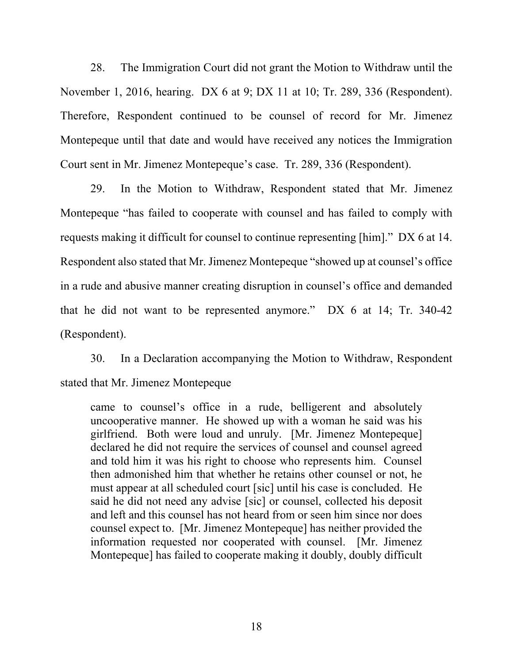28. The Immigration Court did not grant the Motion to Withdraw until the November 1, 2016, hearing. DX 6 at 9; DX 11 at 10; Tr. 289, 336 (Respondent). Therefore, Respondent continued to be counsel of record for Mr. Jimenez Montepeque until that date and would have received any notices the Immigration Court sent in Mr. Jimenez Montepeque's case. Tr. 289, 336 (Respondent).

29. In the Motion to Withdraw, Respondent stated that Mr. Jimenez Montepeque "has failed to cooperate with counsel and has failed to comply with requests making it difficult for counsel to continue representing [him]." DX 6 at 14. Respondent also stated that Mr. Jimenez Montepeque "showed up at counsel's office in a rude and abusive manner creating disruption in counsel's office and demanded that he did not want to be represented anymore." DX 6 at 14; Tr. 340-42 (Respondent).

30. In a Declaration accompanying the Motion to Withdraw, Respondent stated that Mr. Jimenez Montepeque

came to counsel's office in a rude, belligerent and absolutely uncooperative manner. He showed up with a woman he said was his girlfriend. Both were loud and unruly. [Mr. Jimenez Montepeque] declared he did not require the services of counsel and counsel agreed and told him it was his right to choose who represents him. Counsel then admonished him that whether he retains other counsel or not, he must appear at all scheduled court [sic] until his case is concluded. He said he did not need any advise [sic] or counsel, collected his deposit and left and this counsel has not heard from or seen him since nor does counsel expect to. [Mr. Jimenez Montepeque] has neither provided the information requested nor cooperated with counsel. [Mr. Jimenez Montepeque] has failed to cooperate making it doubly, doubly difficult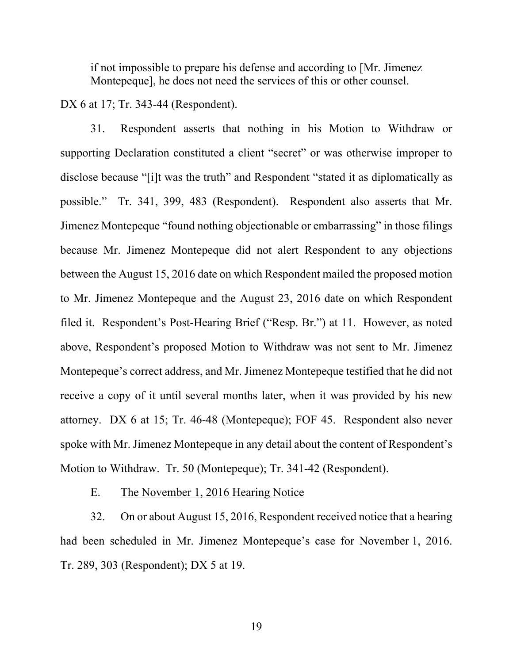if not impossible to prepare his defense and according to [Mr. Jimenez Montepeque], he does not need the services of this or other counsel.

DX 6 at 17; Tr. 343-44 (Respondent).

31. Respondent asserts that nothing in his Motion to Withdraw or supporting Declaration constituted a client "secret" or was otherwise improper to disclose because "[i]t was the truth" and Respondent "stated it as diplomatically as possible." Tr. 341, 399, 483 (Respondent). Respondent also asserts that Mr. Jimenez Montepeque "found nothing objectionable or embarrassing" in those filings because Mr. Jimenez Montepeque did not alert Respondent to any objections between the August 15, 2016 date on which Respondent mailed the proposed motion to Mr. Jimenez Montepeque and the August 23, 2016 date on which Respondent filed it. Respondent's Post-Hearing Brief ("Resp. Br.") at 11. However, as noted above, Respondent's proposed Motion to Withdraw was not sent to Mr. Jimenez Montepeque's correct address, and Mr. Jimenez Montepeque testified that he did not receive a copy of it until several months later, when it was provided by his new attorney. DX 6 at 15; Tr. 46-48 (Montepeque); FOF 45. Respondent also never spoke with Mr. Jimenez Montepeque in any detail about the content of Respondent's Motion to Withdraw. Tr. 50 (Montepeque); Tr. 341-42 (Respondent).

E. The November 1, 2016 Hearing Notice

32. On or about August 15, 2016, Respondent received notice that a hearing had been scheduled in Mr. Jimenez Montepeque's case for November 1, 2016. Tr. 289, 303 (Respondent); DX 5 at 19.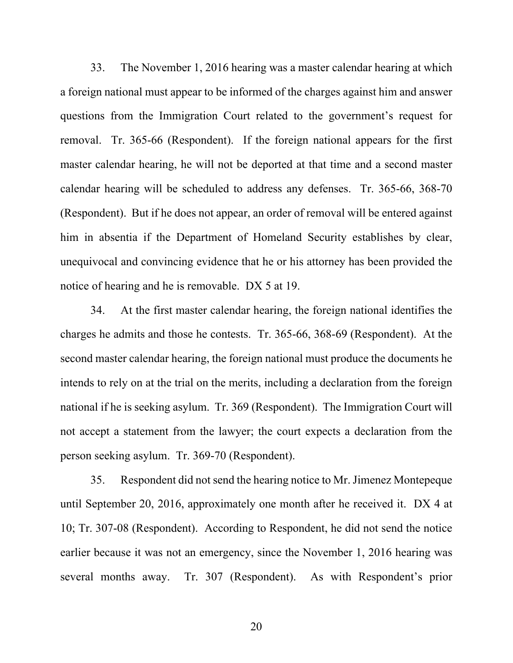33. The November 1, 2016 hearing was a master calendar hearing at which a foreign national must appear to be informed of the charges against him and answer questions from the Immigration Court related to the government's request for removal. Tr. 365-66 (Respondent). If the foreign national appears for the first master calendar hearing, he will not be deported at that time and a second master calendar hearing will be scheduled to address any defenses. Tr. 365-66, 368-70 (Respondent). But if he does not appear, an order of removal will be entered against him in absentia if the Department of Homeland Security establishes by clear, unequivocal and convincing evidence that he or his attorney has been provided the notice of hearing and he is removable. DX 5 at 19.

34. At the first master calendar hearing, the foreign national identifies the charges he admits and those he contests. Tr. 365-66, 368-69 (Respondent). At the second master calendar hearing, the foreign national must produce the documents he intends to rely on at the trial on the merits, including a declaration from the foreign national if he is seeking asylum. Tr. 369 (Respondent). The Immigration Court will not accept a statement from the lawyer; the court expects a declaration from the person seeking asylum. Tr. 369-70 (Respondent).

35. Respondent did not send the hearing notice to Mr. Jimenez Montepeque until September 20, 2016, approximately one month after he received it. DX 4 at 10; Tr. 307-08 (Respondent). According to Respondent, he did not send the notice earlier because it was not an emergency, since the November 1, 2016 hearing was several months away. Tr. 307 (Respondent). As with Respondent's prior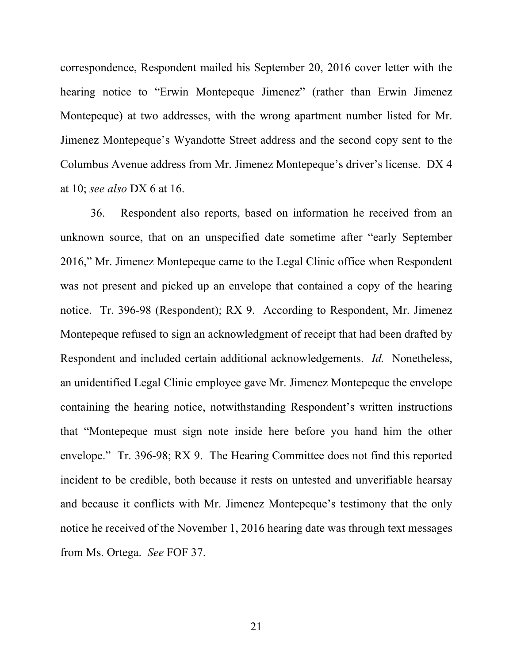correspondence, Respondent mailed his September 20, 2016 cover letter with the hearing notice to "Erwin Montepeque Jimenez" (rather than Erwin Jimenez Montepeque) at two addresses, with the wrong apartment number listed for Mr. Jimenez Montepeque's Wyandotte Street address and the second copy sent to the Columbus Avenue address from Mr. Jimenez Montepeque's driver's license. DX 4 at 10; *see also* DX 6 at 16.

36. Respondent also reports, based on information he received from an unknown source, that on an unspecified date sometime after "early September 2016," Mr. Jimenez Montepeque came to the Legal Clinic office when Respondent was not present and picked up an envelope that contained a copy of the hearing notice. Tr. 396-98 (Respondent); RX 9. According to Respondent, Mr. Jimenez Montepeque refused to sign an acknowledgment of receipt that had been drafted by Respondent and included certain additional acknowledgements. *Id.* Nonetheless, an unidentified Legal Clinic employee gave Mr. Jimenez Montepeque the envelope containing the hearing notice, notwithstanding Respondent's written instructions that "Montepeque must sign note inside here before you hand him the other envelope." Tr. 396-98; RX 9. The Hearing Committee does not find this reported incident to be credible, both because it rests on untested and unverifiable hearsay and because it conflicts with Mr. Jimenez Montepeque's testimony that the only notice he received of the November 1, 2016 hearing date was through text messages from Ms. Ortega. *See* FOF 37.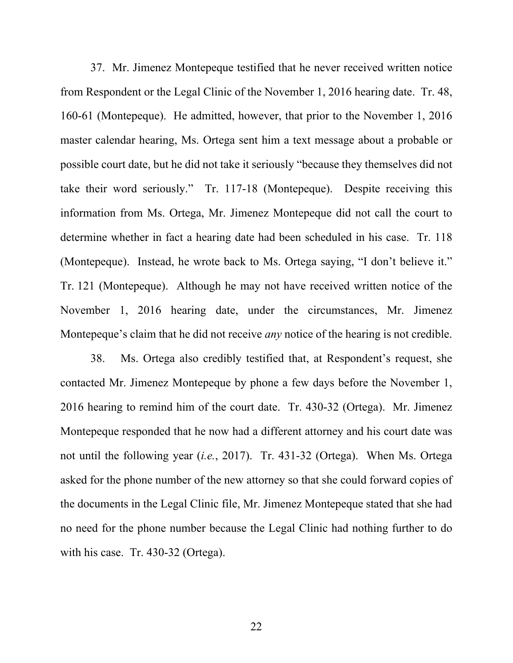37. Mr. Jimenez Montepeque testified that he never received written notice from Respondent or the Legal Clinic of the November 1, 2016 hearing date. Tr. 48, 160-61 (Montepeque). He admitted, however, that prior to the November 1, 2016 master calendar hearing, Ms. Ortega sent him a text message about a probable or possible court date, but he did not take it seriously "because they themselves did not take their word seriously." Tr. 117-18 (Montepeque). Despite receiving this information from Ms. Ortega, Mr. Jimenez Montepeque did not call the court to determine whether in fact a hearing date had been scheduled in his case. Tr. 118 (Montepeque). Instead, he wrote back to Ms. Ortega saying, "I don't believe it." Tr. 121 (Montepeque). Although he may not have received written notice of the November 1, 2016 hearing date, under the circumstances, Mr. Jimenez Montepeque's claim that he did not receive *any* notice of the hearing is not credible.

38. Ms. Ortega also credibly testified that, at Respondent's request, she contacted Mr. Jimenez Montepeque by phone a few days before the November 1, 2016 hearing to remind him of the court date. Tr. 430-32 (Ortega). Mr. Jimenez Montepeque responded that he now had a different attorney and his court date was not until the following year (*i.e.*, 2017). Tr. 431-32 (Ortega). When Ms. Ortega asked for the phone number of the new attorney so that she could forward copies of the documents in the Legal Clinic file, Mr. Jimenez Montepeque stated that she had no need for the phone number because the Legal Clinic had nothing further to do with his case. Tr. 430-32 (Ortega).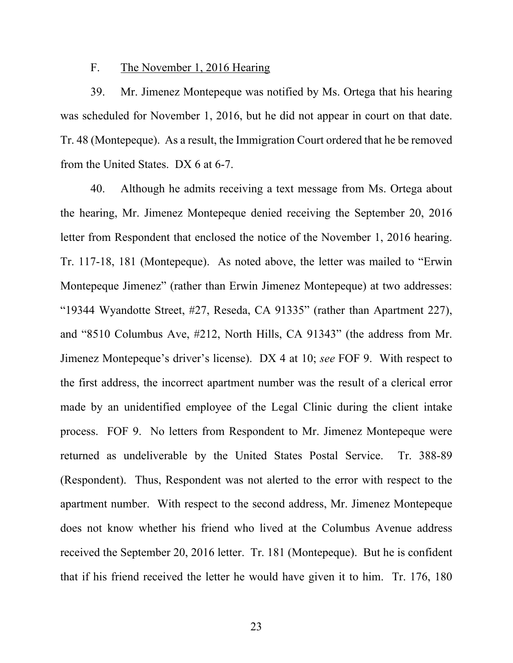#### F. The November 1, 2016 Hearing

39. Mr. Jimenez Montepeque was notified by Ms. Ortega that his hearing was scheduled for November 1, 2016, but he did not appear in court on that date. Tr. 48 (Montepeque). As a result, the Immigration Court ordered that he be removed from the United States. DX 6 at 6-7.

40. Although he admits receiving a text message from Ms. Ortega about the hearing, Mr. Jimenez Montepeque denied receiving the September 20, 2016 letter from Respondent that enclosed the notice of the November 1, 2016 hearing. Tr. 117-18, 181 (Montepeque). As noted above, the letter was mailed to "Erwin Montepeque Jimenez" (rather than Erwin Jimenez Montepeque) at two addresses: "19344 Wyandotte Street, #27, Reseda, CA 91335" (rather than Apartment 227), and "8510 Columbus Ave, #212, North Hills, CA 91343" (the address from Mr. Jimenez Montepeque's driver's license). DX 4 at 10; *see* FOF 9. With respect to the first address, the incorrect apartment number was the result of a clerical error made by an unidentified employee of the Legal Clinic during the client intake process. FOF 9. No letters from Respondent to Mr. Jimenez Montepeque were returned as undeliverable by the United States Postal Service. Tr. 388-89 (Respondent). Thus, Respondent was not alerted to the error with respect to the apartment number. With respect to the second address, Mr. Jimenez Montepeque does not know whether his friend who lived at the Columbus Avenue address received the September 20, 2016 letter. Tr. 181 (Montepeque). But he is confident that if his friend received the letter he would have given it to him. Tr. 176, 180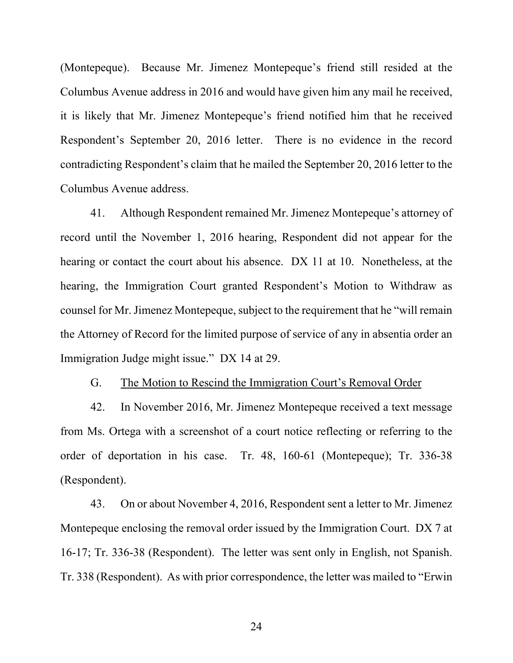(Montepeque). Because Mr. Jimenez Montepeque's friend still resided at the Columbus Avenue address in 2016 and would have given him any mail he received, it is likely that Mr. Jimenez Montepeque's friend notified him that he received Respondent's September 20, 2016 letter. There is no evidence in the record contradicting Respondent's claim that he mailed the September 20, 2016 letter to the Columbus Avenue address.

41. Although Respondent remained Mr. Jimenez Montepeque's attorney of record until the November 1, 2016 hearing, Respondent did not appear for the hearing or contact the court about his absence. DX 11 at 10. Nonetheless, at the hearing, the Immigration Court granted Respondent's Motion to Withdraw as counsel for Mr. Jimenez Montepeque, subject to the requirement that he "will remain the Attorney of Record for the limited purpose of service of any in absentia order an Immigration Judge might issue." DX 14 at 29.

G. The Motion to Rescind the Immigration Court's Removal Order

42. In November 2016, Mr. Jimenez Montepeque received a text message from Ms. Ortega with a screenshot of a court notice reflecting or referring to the order of deportation in his case. Tr. 48, 160-61 (Montepeque); Tr. 336-38 (Respondent).

43. On or about November 4, 2016, Respondent sent a letter to Mr. Jimenez Montepeque enclosing the removal order issued by the Immigration Court. DX 7 at 16-17; Tr. 336-38 (Respondent). The letter was sent only in English, not Spanish. Tr. 338 (Respondent). As with prior correspondence, the letter was mailed to "Erwin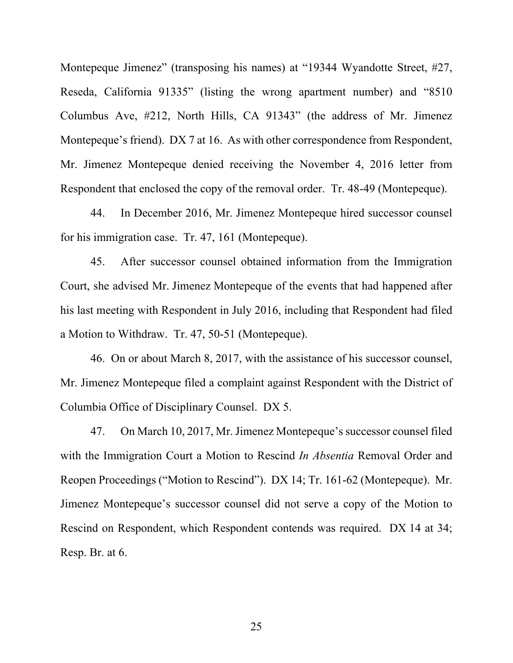Montepeque Jimenez" (transposing his names) at "19344 Wyandotte Street, #27, Reseda, California 91335" (listing the wrong apartment number) and "8510 Columbus Ave, #212, North Hills, CA 91343" (the address of Mr. Jimenez Montepeque's friend). DX 7 at 16. As with other correspondence from Respondent, Mr. Jimenez Montepeque denied receiving the November 4, 2016 letter from Respondent that enclosed the copy of the removal order. Tr. 48-49 (Montepeque).

44. In December 2016, Mr. Jimenez Montepeque hired successor counsel for his immigration case. Tr. 47, 161 (Montepeque).

45. After successor counsel obtained information from the Immigration Court, she advised Mr. Jimenez Montepeque of the events that had happened after his last meeting with Respondent in July 2016, including that Respondent had filed a Motion to Withdraw. Tr. 47, 50-51 (Montepeque).

46. On or about March 8, 2017, with the assistance of his successor counsel, Mr. Jimenez Montepeque filed a complaint against Respondent with the District of Columbia Office of Disciplinary Counsel. DX 5.

47. On March 10, 2017, Mr. Jimenez Montepeque's successor counsel filed with the Immigration Court a Motion to Rescind *In Absentia* Removal Order and Reopen Proceedings ("Motion to Rescind"). DX 14; Tr. 161-62 (Montepeque). Mr. Jimenez Montepeque's successor counsel did not serve a copy of the Motion to Rescind on Respondent, which Respondent contends was required. DX 14 at 34; Resp. Br. at 6.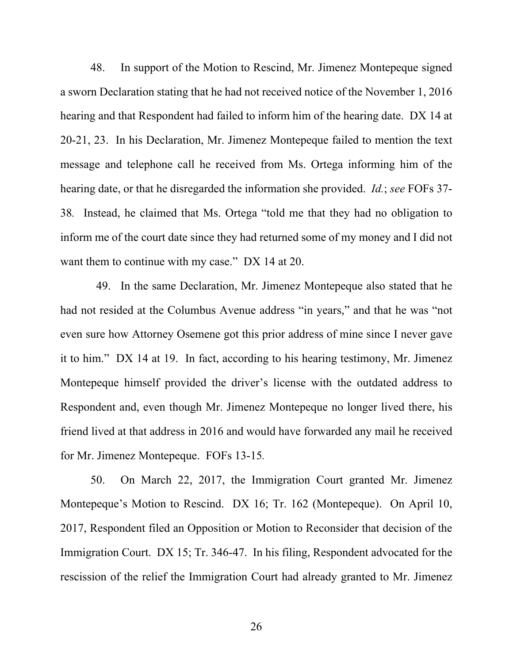48. In support of the Motion to Rescind, Mr. Jimenez Montepeque signed a sworn Declaration stating that he had not received notice of the November 1, 2016 hearing and that Respondent had failed to inform him of the hearing date. DX 14 at 20-21, 23. In his Declaration, Mr. Jimenez Montepeque failed to mention the text message and telephone call he received from Ms. Ortega informing him of the hearing date, or that he disregarded the information she provided. *Id.*; *see* FOFs 37- 38*.* Instead, he claimed that Ms. Ortega "told me that they had no obligation to inform me of the court date since they had returned some of my money and I did not want them to continue with my case." DX 14 at 20.

49. In the same Declaration, Mr. Jimenez Montepeque also stated that he had not resided at the Columbus Avenue address "in years," and that he was "not even sure how Attorney Osemene got this prior address of mine since I never gave it to him." DX 14 at 19. In fact, according to his hearing testimony, Mr. Jimenez Montepeque himself provided the driver's license with the outdated address to Respondent and, even though Mr. Jimenez Montepeque no longer lived there, his friend lived at that address in 2016 and would have forwarded any mail he received for Mr. Jimenez Montepeque. FOFs 13-15*.*

50. On March 22, 2017, the Immigration Court granted Mr. Jimenez Montepeque's Motion to Rescind. DX 16; Tr. 162 (Montepeque). On April 10, 2017, Respondent filed an Opposition or Motion to Reconsider that decision of the Immigration Court. DX 15; Tr. 346-47. In his filing, Respondent advocated for the rescission of the relief the Immigration Court had already granted to Mr. Jimenez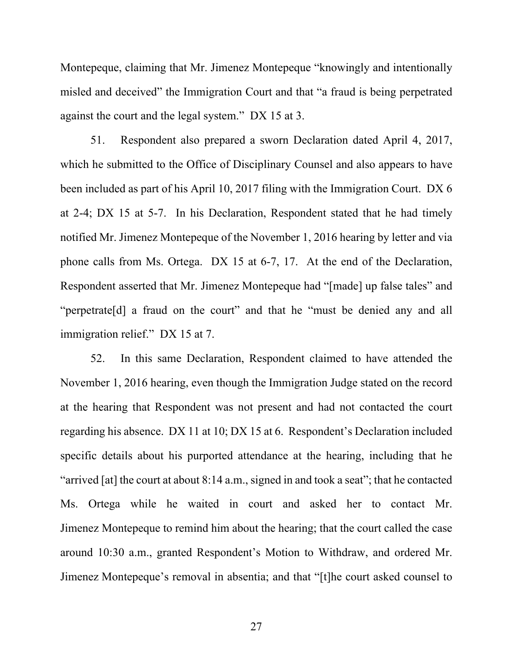Montepeque, claiming that Mr. Jimenez Montepeque "knowingly and intentionally misled and deceived" the Immigration Court and that "a fraud is being perpetrated against the court and the legal system." DX 15 at 3.

51. Respondent also prepared a sworn Declaration dated April 4, 2017, which he submitted to the Office of Disciplinary Counsel and also appears to have been included as part of his April 10, 2017 filing with the Immigration Court. DX 6 at 2-4; DX 15 at 5-7. In his Declaration, Respondent stated that he had timely notified Mr. Jimenez Montepeque of the November 1, 2016 hearing by letter and via phone calls from Ms. Ortega. DX 15 at 6-7, 17. At the end of the Declaration, Respondent asserted that Mr. Jimenez Montepeque had "[made] up false tales" and "perpetrate[d] a fraud on the court" and that he "must be denied any and all immigration relief." DX 15 at 7.

52. In this same Declaration, Respondent claimed to have attended the November 1, 2016 hearing, even though the Immigration Judge stated on the record at the hearing that Respondent was not present and had not contacted the court regarding his absence. DX 11 at 10; DX 15 at 6. Respondent's Declaration included specific details about his purported attendance at the hearing, including that he "arrived [at] the court at about 8:14 a.m., signed in and took a seat"; that he contacted Ms. Ortega while he waited in court and asked her to contact Mr. Jimenez Montepeque to remind him about the hearing; that the court called the case around 10:30 a.m., granted Respondent's Motion to Withdraw, and ordered Mr. Jimenez Montepeque's removal in absentia; and that "[t]he court asked counsel to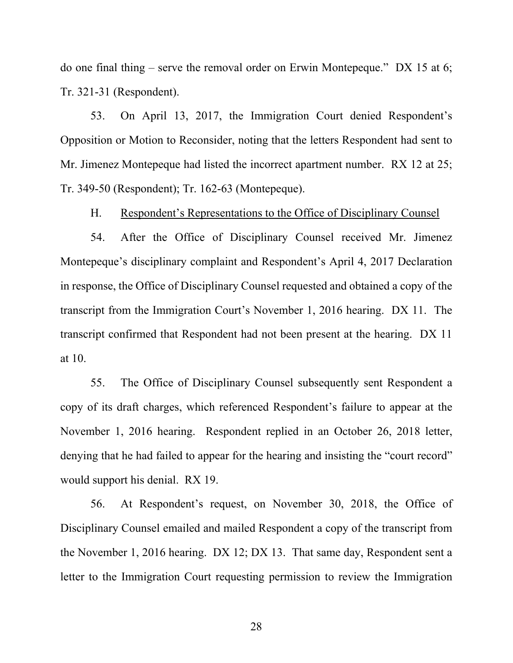do one final thing – serve the removal order on Erwin Montepeque." DX 15 at 6; Tr. 321-31 (Respondent).

53. On April 13, 2017, the Immigration Court denied Respondent's Opposition or Motion to Reconsider, noting that the letters Respondent had sent to Mr. Jimenez Montepeque had listed the incorrect apartment number. RX 12 at 25; Tr. 349-50 (Respondent); Tr. 162-63 (Montepeque).

H. Respondent's Representations to the Office of Disciplinary Counsel

54. After the Office of Disciplinary Counsel received Mr. Jimenez Montepeque's disciplinary complaint and Respondent's April 4, 2017 Declaration in response, the Office of Disciplinary Counsel requested and obtained a copy of the transcript from the Immigration Court's November 1, 2016 hearing. DX 11. The transcript confirmed that Respondent had not been present at the hearing. DX 11 at 10.

55. The Office of Disciplinary Counsel subsequently sent Respondent a copy of its draft charges, which referenced Respondent's failure to appear at the November 1, 2016 hearing. Respondent replied in an October 26, 2018 letter, denying that he had failed to appear for the hearing and insisting the "court record" would support his denial. RX 19.

56. At Respondent's request, on November 30, 2018, the Office of Disciplinary Counsel emailed and mailed Respondent a copy of the transcript from the November 1, 2016 hearing. DX 12; DX 13. That same day, Respondent sent a letter to the Immigration Court requesting permission to review the Immigration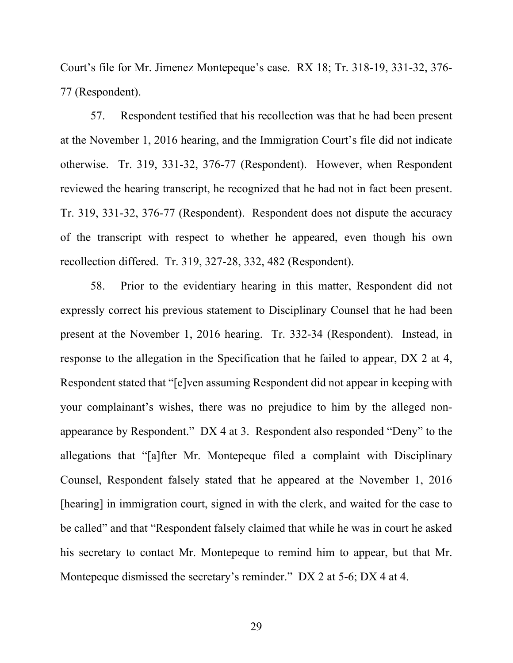Court's file for Mr. Jimenez Montepeque's case. RX 18; Tr. 318-19, 331-32, 376- 77 (Respondent).

57. Respondent testified that his recollection was that he had been present at the November 1, 2016 hearing, and the Immigration Court's file did not indicate otherwise. Tr. 319, 331-32, 376-77 (Respondent). However, when Respondent reviewed the hearing transcript, he recognized that he had not in fact been present. Tr. 319, 331-32, 376-77 (Respondent). Respondent does not dispute the accuracy of the transcript with respect to whether he appeared, even though his own recollection differed. Tr. 319, 327-28, 332, 482 (Respondent).

58. Prior to the evidentiary hearing in this matter, Respondent did not expressly correct his previous statement to Disciplinary Counsel that he had been present at the November 1, 2016 hearing. Tr. 332-34 (Respondent). Instead, in response to the allegation in the Specification that he failed to appear, DX 2 at 4, Respondent stated that "[e]ven assuming Respondent did not appear in keeping with your complainant's wishes, there was no prejudice to him by the alleged nonappearance by Respondent." DX 4 at 3. Respondent also responded "Deny" to the allegations that "[a]fter Mr. Montepeque filed a complaint with Disciplinary Counsel, Respondent falsely stated that he appeared at the November 1, 2016 [hearing] in immigration court, signed in with the clerk, and waited for the case to be called" and that "Respondent falsely claimed that while he was in court he asked his secretary to contact Mr. Montepeque to remind him to appear, but that Mr. Montepeque dismissed the secretary's reminder." DX 2 at 5-6; DX 4 at 4.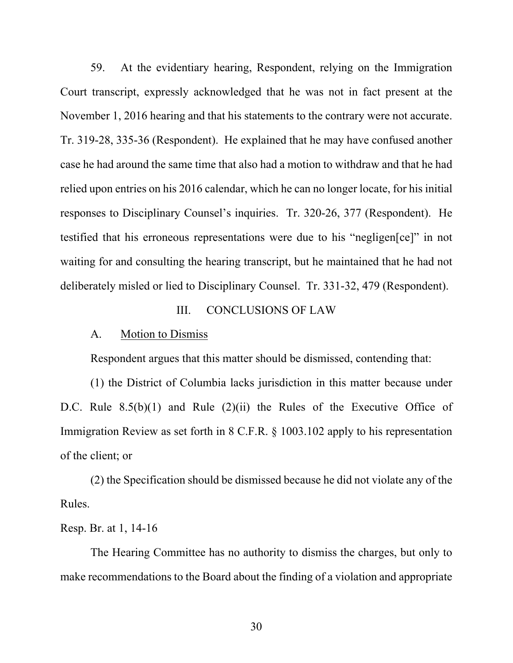59. At the evidentiary hearing, Respondent, relying on the Immigration Court transcript, expressly acknowledged that he was not in fact present at the November 1, 2016 hearing and that his statements to the contrary were not accurate. Tr. 319-28, 335-36 (Respondent). He explained that he may have confused another case he had around the same time that also had a motion to withdraw and that he had relied upon entries on his 2016 calendar, which he can no longer locate, for his initial responses to Disciplinary Counsel's inquiries. Tr. 320-26, 377 (Respondent). He testified that his erroneous representations were due to his "negligen[ce]" in not waiting for and consulting the hearing transcript, but he maintained that he had not deliberately misled or lied to Disciplinary Counsel. Tr. 331-32, 479 (Respondent).

## III. CONCLUSIONS OF LAW

#### A. Motion to Dismiss

Respondent argues that this matter should be dismissed, contending that:

(1) the District of Columbia lacks jurisdiction in this matter because under D.C. Rule 8.5(b)(1) and Rule (2)(ii) the Rules of the Executive Office of Immigration Review as set forth in 8 C.F.R. § 1003.102 apply to his representation of the client; or

(2) the Specification should be dismissed because he did not violate any of the Rules.

# Resp. Br. at 1, 14-16

The Hearing Committee has no authority to dismiss the charges, but only to make recommendations to the Board about the finding of a violation and appropriate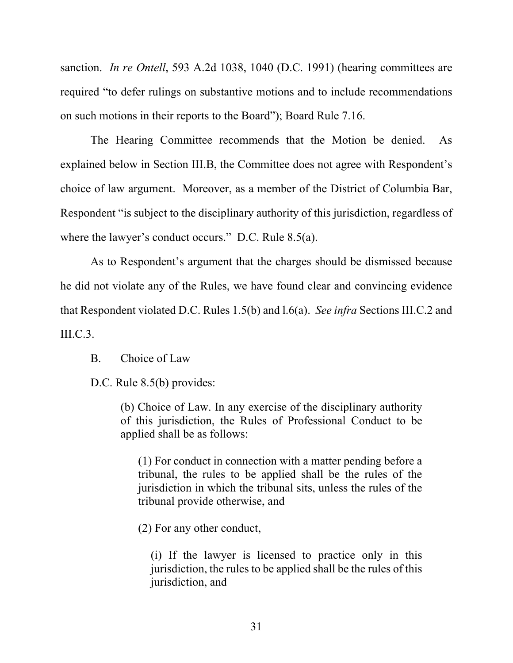sanction. *In re Ontell*, 593 A.2d 1038, 1040 (D.C. 1991) (hearing committees are required "to defer rulings on substantive motions and to include recommendations on such motions in their reports to the Board"); Board Rule 7.16.

The Hearing Committee recommends that the Motion be denied. As explained below in Section III.B, the Committee does not agree with Respondent's choice of law argument. Moreover, as a member of the District of Columbia Bar, Respondent "is subject to the disciplinary authority of this jurisdiction, regardless of where the lawyer's conduct occurs." D.C. Rule 8.5(a).

As to Respondent's argument that the charges should be dismissed because he did not violate any of the Rules, we have found clear and convincing evidence that Respondent violated D.C. Rules 1.5(b) and l.6(a). *See infra* Sections III.C.2 and  $\text{HLC.3.}$ 

## B. Choice of Law

D.C. Rule 8.5(b) provides:

(b) Choice of Law. In any exercise of the disciplinary authority of this jurisdiction, the Rules of Professional Conduct to be applied shall be as follows:

(1) For conduct in connection with a matter pending before a tribunal, the rules to be applied shall be the rules of the jurisdiction in which the tribunal sits, unless the rules of the tribunal provide otherwise, and

(2) For any other conduct,

(i) If the lawyer is licensed to practice only in this jurisdiction, the rules to be applied shall be the rules of this jurisdiction, and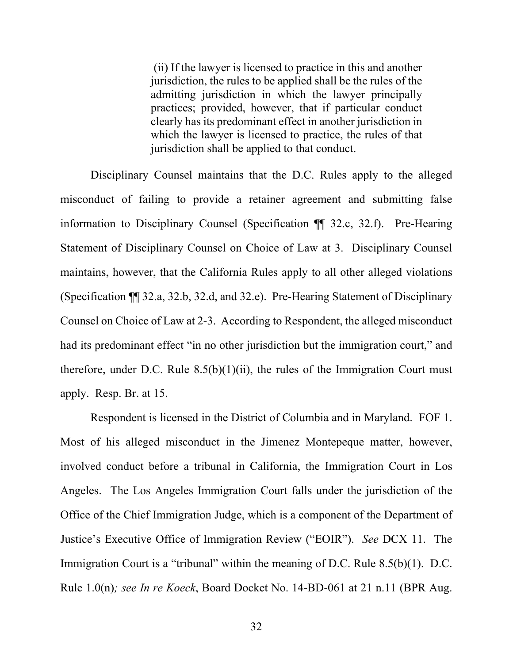(ii) If the lawyer is licensed to practice in this and another jurisdiction, the rules to be applied shall be the rules of the admitting jurisdiction in which the lawyer principally practices; provided, however, that if particular conduct clearly has its predominant effect in another jurisdiction in which the lawyer is licensed to practice, the rules of that jurisdiction shall be applied to that conduct.

Disciplinary Counsel maintains that the D.C. Rules apply to the alleged misconduct of failing to provide a retainer agreement and submitting false information to Disciplinary Counsel (Specification ¶¶ 32.c, 32.f). Pre-Hearing Statement of Disciplinary Counsel on Choice of Law at 3. Disciplinary Counsel maintains, however, that the California Rules apply to all other alleged violations (Specification ¶¶ 32.a, 32.b, 32.d, and 32.e). Pre-Hearing Statement of Disciplinary Counsel on Choice of Law at 2-3. According to Respondent, the alleged misconduct had its predominant effect "in no other jurisdiction but the immigration court," and therefore, under D.C. Rule  $8.5(b)(1)(ii)$ , the rules of the Immigration Court must apply. Resp. Br. at 15.

Respondent is licensed in the District of Columbia and in Maryland. FOF 1. Most of his alleged misconduct in the Jimenez Montepeque matter, however, involved conduct before a tribunal in California, the Immigration Court in Los Angeles. The Los Angeles Immigration Court falls under the jurisdiction of the Office of the Chief Immigration Judge, which is a component of the Department of Justice's Executive Office of Immigration Review ("EOIR"). *See* DCX 11. The Immigration Court is a "tribunal" within the meaning of D.C. Rule 8.5(b)(1). D.C. Rule 1.0(n)*; see In re Koeck*, Board Docket No. 14-BD-061 at 21 n.11 (BPR Aug.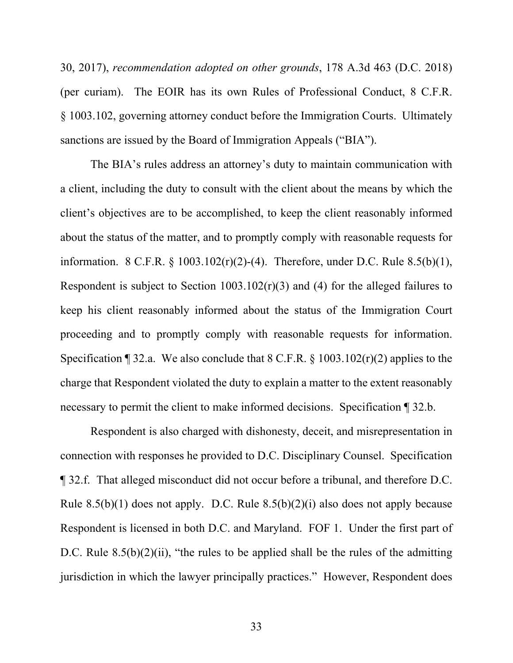30, 2017), *recommendation adopted on other grounds*, 178 A.3d 463 (D.C. 2018) (per curiam). The EOIR has its own Rules of Professional Conduct, 8 C.F.R. § 1003.102, governing attorney conduct before the Immigration Courts. Ultimately sanctions are issued by the Board of Immigration Appeals ("BIA").

The BIA's rules address an attorney's duty to maintain communication with a client, including the duty to consult with the client about the means by which the client's objectives are to be accomplished, to keep the client reasonably informed about the status of the matter, and to promptly comply with reasonable requests for information. 8 C.F.R. § 1003.102(r)(2)-(4). Therefore, under D.C. Rule 8.5(b)(1), Respondent is subject to Section 1003.102(r)(3) and (4) for the alleged failures to keep his client reasonably informed about the status of the Immigration Court proceeding and to promptly comply with reasonable requests for information. Specification  $\P$  32.a. We also conclude that 8 C.F.R. § 1003.102(r)(2) applies to the charge that Respondent violated the duty to explain a matter to the extent reasonably necessary to permit the client to make informed decisions. Specification ¶ 32.b.

Respondent is also charged with dishonesty, deceit, and misrepresentation in connection with responses he provided to D.C. Disciplinary Counsel. Specification ¶ 32.f. That alleged misconduct did not occur before a tribunal, and therefore D.C. Rule  $8.5(b)(1)$  does not apply. D.C. Rule  $8.5(b)(2)(i)$  also does not apply because Respondent is licensed in both D.C. and Maryland. FOF 1. Under the first part of D.C. Rule  $8.5(b)(2)(ii)$ , "the rules to be applied shall be the rules of the admitting jurisdiction in which the lawyer principally practices." However, Respondent does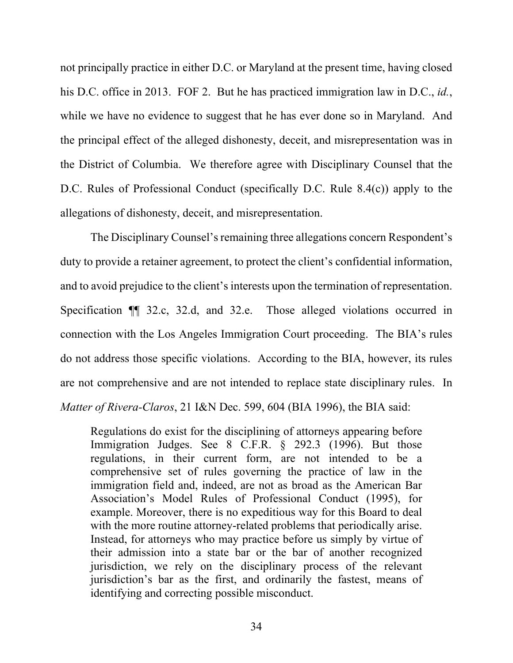not principally practice in either D.C. or Maryland at the present time, having closed his D.C. office in 2013. FOF 2. But he has practiced immigration law in D.C., *id.*, while we have no evidence to suggest that he has ever done so in Maryland. And the principal effect of the alleged dishonesty, deceit, and misrepresentation was in the District of Columbia. We therefore agree with Disciplinary Counsel that the D.C. Rules of Professional Conduct (specifically D.C. Rule 8.4(c)) apply to the allegations of dishonesty, deceit, and misrepresentation.

The Disciplinary Counsel's remaining three allegations concern Respondent's duty to provide a retainer agreement, to protect the client's confidential information, and to avoid prejudice to the client's interests upon the termination of representation. Specification ¶¶ 32.c, 32.d, and 32.e. Those alleged violations occurred in connection with the Los Angeles Immigration Court proceeding. The BIA's rules do not address those specific violations. According to the BIA, however, its rules are not comprehensive and are not intended to replace state disciplinary rules. In *Matter of Rivera-Claros*, 21 I&N Dec. 599, 604 (BIA 1996), the BIA said:

Regulations do exist for the disciplining of attorneys appearing before Immigration Judges. See 8 C.F.R. § 292.3 (1996). But those regulations, in their current form, are not intended to be a comprehensive set of rules governing the practice of law in the immigration field and, indeed, are not as broad as the American Bar Association's Model Rules of Professional Conduct (1995), for example. Moreover, there is no expeditious way for this Board to deal with the more routine attorney-related problems that periodically arise. Instead, for attorneys who may practice before us simply by virtue of their admission into a state bar or the bar of another recognized jurisdiction, we rely on the disciplinary process of the relevant jurisdiction's bar as the first, and ordinarily the fastest, means of identifying and correcting possible misconduct.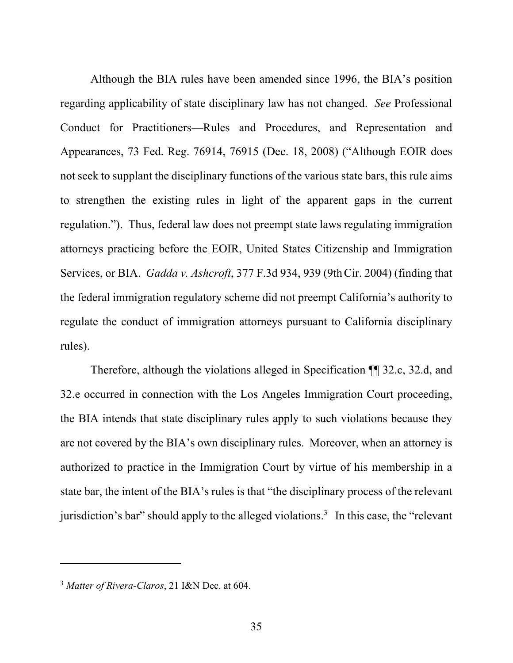Although the BIA rules have been amended since 1996, the BIA's position regarding applicability of state disciplinary law has not changed. *See* Professional Conduct for Practitioners—Rules and Procedures, and Representation and Appearances, 73 Fed. Reg. 76914, 76915 (Dec. 18, 2008) ("Although EOIR does not seek to supplant the disciplinary functions of the various state bars, this rule aims to strengthen the existing rules in light of the apparent gaps in the current regulation."). Thus, federal law does not preempt state laws regulating immigration attorneys practicing before the EOIR, United States Citizenship and Immigration Services, or BIA. *Gadda v. Ashcroft*, 377 F.3d 934, 939 (9thCir. 2004) (finding that the federal immigration regulatory scheme did not preempt California's authority to regulate the conduct of immigration attorneys pursuant to California disciplinary rules).

 Therefore, although the violations alleged in Specification ¶¶ 32.c, 32.d, and 32.e occurred in connection with the Los Angeles Immigration Court proceeding, the BIA intends that state disciplinary rules apply to such violations because they are not covered by the BIA's own disciplinary rules. Moreover, when an attorney is authorized to practice in the Immigration Court by virtue of his membership in a state bar, the intent of the BIA's rules is that "the disciplinary process of the relevant jurisdiction's bar" should apply to the alleged violations.<sup>3</sup> In this case, the "relevant

<sup>3</sup> *Matter of Rivera-Claros*, 21 I&N Dec. at 604.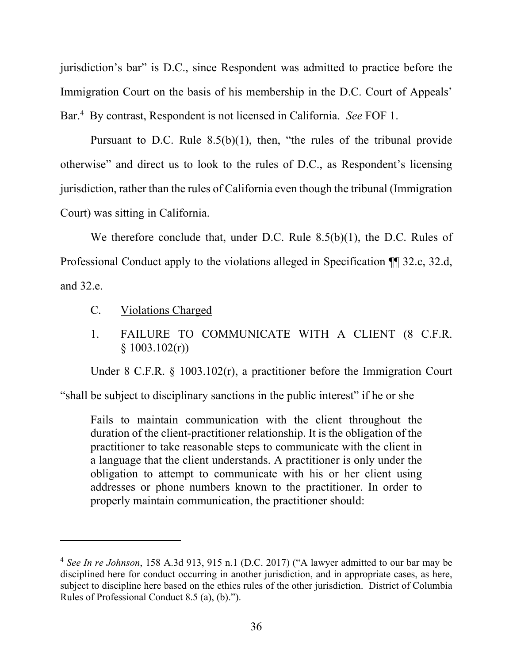jurisdiction's bar" is D.C., since Respondent was admitted to practice before the Immigration Court on the basis of his membership in the D.C. Court of Appeals' Bar.<sup>4</sup> By contrast, Respondent is not licensed in California. *See* FOF 1.

Pursuant to D.C. Rule  $8.5(b)(1)$ , then, "the rules of the tribunal provide otherwise" and direct us to look to the rules of D.C., as Respondent's licensing jurisdiction, rather than the rules of California even though the tribunal (Immigration Court) was sitting in California.

We therefore conclude that, under D.C. Rule 8.5(b)(1), the D.C. Rules of Professional Conduct apply to the violations alleged in Specification ¶¶ 32.c, 32.d, and 32.e.

- C. Violations Charged
- 1. FAILURE TO COMMUNICATE WITH A CLIENT (8 C.F.R.  $§ 1003.102(r))$

Under 8 C.F.R. § 1003.102(r), a practitioner before the Immigration Court

"shall be subject to disciplinary sanctions in the public interest" if he or she

Fails to maintain communication with the client throughout the duration of the client-practitioner relationship. It is the obligation of the practitioner to take reasonable steps to communicate with the client in a language that the client understands. A practitioner is only under the obligation to attempt to communicate with his or her client using addresses or phone numbers known to the practitioner. In order to properly maintain communication, the practitioner should:

<sup>4</sup> *See In re Johnson*, 158 A.3d 913, 915 n.1 (D.C. 2017) ("A lawyer admitted to our bar may be disciplined here for conduct occurring in another jurisdiction, and in appropriate cases, as here, subject to discipline here based on the ethics rules of the other jurisdiction. District of Columbia Rules of Professional Conduct 8.5 (a), (b).").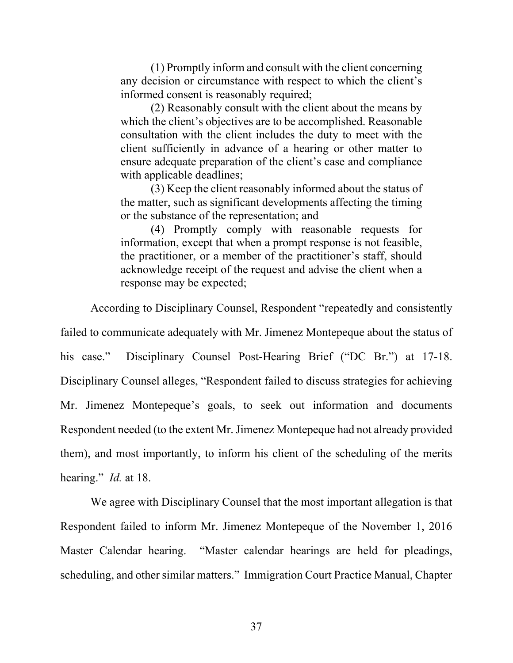(1) Promptly inform and consult with the client concerning any decision or circumstance with respect to which the client's informed consent is reasonably required;

(2) Reasonably consult with the client about the means by which the client's objectives are to be accomplished. Reasonable consultation with the client includes the duty to meet with the client sufficiently in advance of a hearing or other matter to ensure adequate preparation of the client's case and compliance with applicable deadlines;

(3) Keep the client reasonably informed about the status of the matter, such as significant developments affecting the timing or the substance of the representation; and

(4) Promptly comply with reasonable requests for information, except that when a prompt response is not feasible, the practitioner, or a member of the practitioner's staff, should acknowledge receipt of the request and advise the client when a response may be expected;

According to Disciplinary Counsel, Respondent "repeatedly and consistently

failed to communicate adequately with Mr. Jimenez Montepeque about the status of his case." Disciplinary Counsel Post-Hearing Brief ("DC Br.") at 17-18. Disciplinary Counsel alleges, "Respondent failed to discuss strategies for achieving Mr. Jimenez Montepeque's goals, to seek out information and documents Respondent needed (to the extent Mr. Jimenez Montepeque had not already provided them), and most importantly, to inform his client of the scheduling of the merits hearing." *Id.* at 18.

We agree with Disciplinary Counsel that the most important allegation is that Respondent failed to inform Mr. Jimenez Montepeque of the November 1, 2016 Master Calendar hearing. "Master calendar hearings are held for pleadings, scheduling, and other similar matters." Immigration Court Practice Manual, Chapter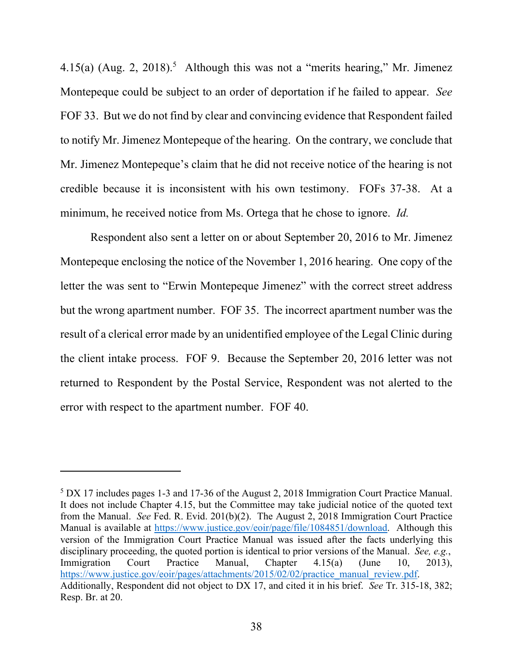4.15(a) (Aug. 2, 2018).<sup>5</sup> Although this was not a "merits hearing," Mr. Jimenez Montepeque could be subject to an order of deportation if he failed to appear. *See* FOF 33. But we do not find by clear and convincing evidence that Respondent failed to notify Mr. Jimenez Montepeque of the hearing. On the contrary, we conclude that Mr. Jimenez Montepeque's claim that he did not receive notice of the hearing is not credible because it is inconsistent with his own testimony. FOFs 37-38. At a minimum, he received notice from Ms. Ortega that he chose to ignore. *Id.*

Respondent also sent a letter on or about September 20, 2016 to Mr. Jimenez Montepeque enclosing the notice of the November 1, 2016 hearing. One copy of the letter the was sent to "Erwin Montepeque Jimenez" with the correct street address but the wrong apartment number. FOF 35. The incorrect apartment number was the result of a clerical error made by an unidentified employee of the Legal Clinic during the client intake process. FOF 9. Because the September 20, 2016 letter was not returned to Respondent by the Postal Service, Respondent was not alerted to the error with respect to the apartment number. FOF 40.

<sup>&</sup>lt;sup>5</sup> DX 17 includes pages 1-3 and 17-36 of the August 2, 2018 Immigration Court Practice Manual. It does not include Chapter 4.15, but the Committee may take judicial notice of the quoted text from the Manual. *See* Fed. R. Evid. 201(b)(2). The August 2, 2018 Immigration Court Practice Manual is available at https://www.justice.gov/eoir/page/file/1084851/download. Although this version of the Immigration Court Practice Manual was issued after the facts underlying this disciplinary proceeding, the quoted portion is identical to prior versions of the Manual. *See, e.g.*, Immigration Court Practice Manual, Chapter 4.15(a) (June 10, 2013), https://www.justice.gov/eoir/pages/attachments/2015/02/02/practice\_manual\_review.pdf. Additionally, Respondent did not object to DX 17, and cited it in his brief. *See* Tr. 315-18, 382; Resp. Br. at 20.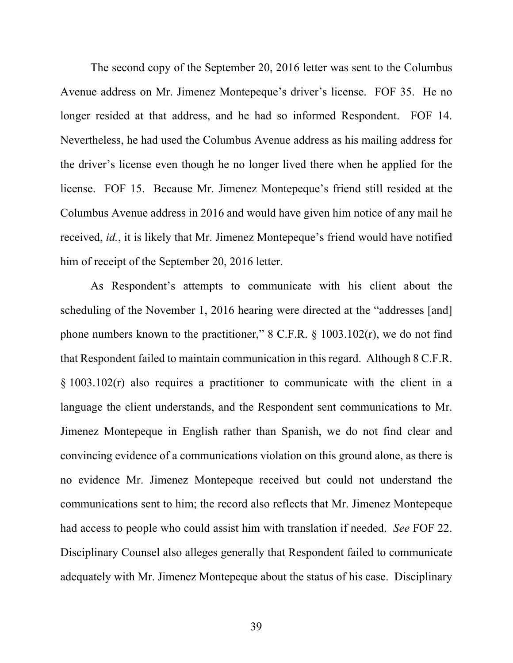The second copy of the September 20, 2016 letter was sent to the Columbus Avenue address on Mr. Jimenez Montepeque's driver's license. FOF 35. He no longer resided at that address, and he had so informed Respondent. FOF 14. Nevertheless, he had used the Columbus Avenue address as his mailing address for the driver's license even though he no longer lived there when he applied for the license. FOF 15. Because Mr. Jimenez Montepeque's friend still resided at the Columbus Avenue address in 2016 and would have given him notice of any mail he received, *id.*, it is likely that Mr. Jimenez Montepeque's friend would have notified him of receipt of the September 20, 2016 letter.

As Respondent's attempts to communicate with his client about the scheduling of the November 1, 2016 hearing were directed at the "addresses [and] phone numbers known to the practitioner," 8 C.F.R. § 1003.102(r), we do not find that Respondent failed to maintain communication in this regard. Although 8 C.F.R. § 1003.102(r) also requires a practitioner to communicate with the client in a language the client understands, and the Respondent sent communications to Mr. Jimenez Montepeque in English rather than Spanish, we do not find clear and convincing evidence of a communications violation on this ground alone, as there is no evidence Mr. Jimenez Montepeque received but could not understand the communications sent to him; the record also reflects that Mr. Jimenez Montepeque had access to people who could assist him with translation if needed. *See* FOF 22. Disciplinary Counsel also alleges generally that Respondent failed to communicate adequately with Mr. Jimenez Montepeque about the status of his case. Disciplinary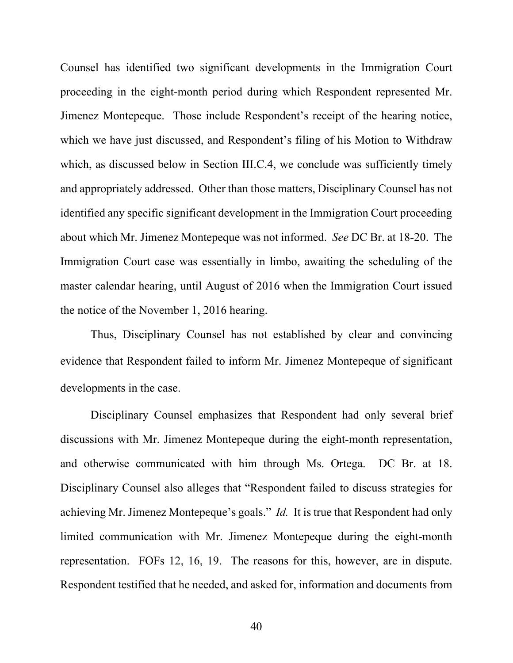Counsel has identified two significant developments in the Immigration Court proceeding in the eight-month period during which Respondent represented Mr. Jimenez Montepeque. Those include Respondent's receipt of the hearing notice, which we have just discussed, and Respondent's filing of his Motion to Withdraw which, as discussed below in Section III.C.4, we conclude was sufficiently timely and appropriately addressed. Other than those matters, Disciplinary Counsel has not identified any specific significant development in the Immigration Court proceeding about which Mr. Jimenez Montepeque was not informed. *See* DC Br. at 18-20. The Immigration Court case was essentially in limbo, awaiting the scheduling of the master calendar hearing, until August of 2016 when the Immigration Court issued the notice of the November 1, 2016 hearing.

Thus, Disciplinary Counsel has not established by clear and convincing evidence that Respondent failed to inform Mr. Jimenez Montepeque of significant developments in the case.

Disciplinary Counsel emphasizes that Respondent had only several brief discussions with Mr. Jimenez Montepeque during the eight-month representation, and otherwise communicated with him through Ms. Ortega. DC Br. at 18. Disciplinary Counsel also alleges that "Respondent failed to discuss strategies for achieving Mr. Jimenez Montepeque's goals." *Id.* It is true that Respondent had only limited communication with Mr. Jimenez Montepeque during the eight-month representation. FOFs 12, 16, 19. The reasons for this, however, are in dispute. Respondent testified that he needed, and asked for, information and documents from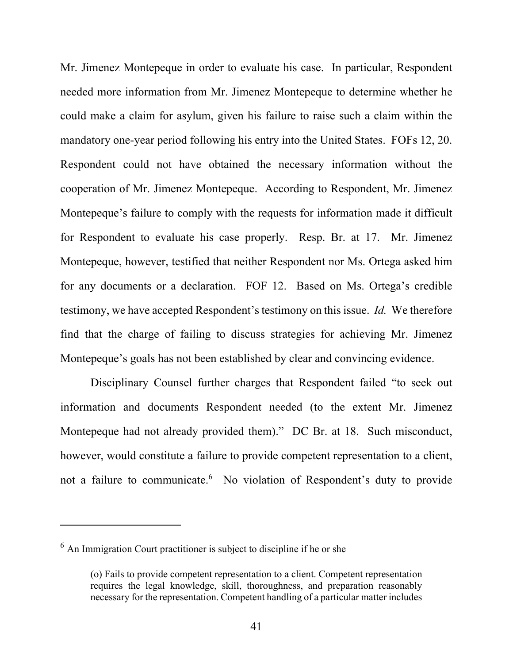Mr. Jimenez Montepeque in order to evaluate his case. In particular, Respondent needed more information from Mr. Jimenez Montepeque to determine whether he could make a claim for asylum, given his failure to raise such a claim within the mandatory one-year period following his entry into the United States. FOFs 12, 20. Respondent could not have obtained the necessary information without the cooperation of Mr. Jimenez Montepeque. According to Respondent, Mr. Jimenez Montepeque's failure to comply with the requests for information made it difficult for Respondent to evaluate his case properly. Resp. Br. at 17. Mr. Jimenez Montepeque, however, testified that neither Respondent nor Ms. Ortega asked him for any documents or a declaration. FOF 12. Based on Ms. Ortega's credible testimony, we have accepted Respondent's testimony on this issue. *Id.* We therefore find that the charge of failing to discuss strategies for achieving Mr. Jimenez Montepeque's goals has not been established by clear and convincing evidence.

Disciplinary Counsel further charges that Respondent failed "to seek out information and documents Respondent needed (to the extent Mr. Jimenez Montepeque had not already provided them)." DC Br. at 18. Such misconduct, however, would constitute a failure to provide competent representation to a client, not a failure to communicate.<sup>6</sup> No violation of Respondent's duty to provide

 $<sup>6</sup>$  An Immigration Court practitioner is subject to discipline if he or she</sup>

<sup>(</sup>o) Fails to provide competent representation to a client. Competent representation requires the legal knowledge, skill, thoroughness, and preparation reasonably necessary for the representation. Competent handling of a particular matter includes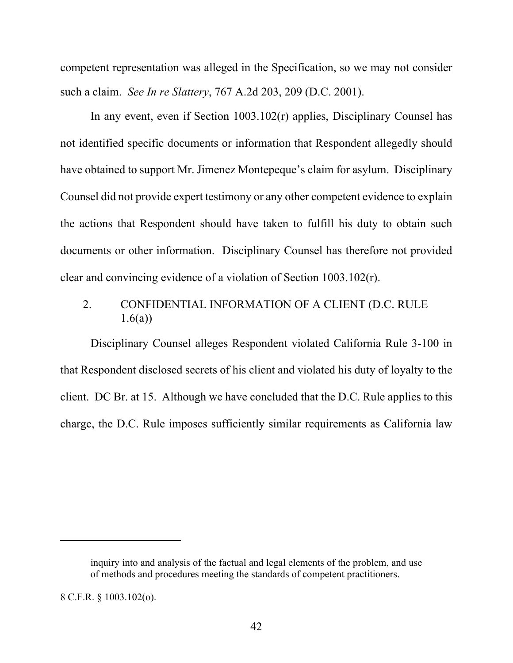competent representation was alleged in the Specification, so we may not consider such a claim. *See In re Slattery*, 767 A.2d 203, 209 (D.C. 2001).

In any event, even if Section 1003.102(r) applies, Disciplinary Counsel has not identified specific documents or information that Respondent allegedly should have obtained to support Mr. Jimenez Montepeque's claim for asylum. Disciplinary Counsel did not provide expert testimony or any other competent evidence to explain the actions that Respondent should have taken to fulfill his duty to obtain such documents or other information. Disciplinary Counsel has therefore not provided clear and convincing evidence of a violation of Section 1003.102(r).

# 2. CONFIDENTIAL INFORMATION OF A CLIENT (D.C. RULE  $1.6(a)$

Disciplinary Counsel alleges Respondent violated California Rule 3-100 in that Respondent disclosed secrets of his client and violated his duty of loyalty to the client. DC Br. at 15. Although we have concluded that the D.C. Rule applies to this charge, the D.C. Rule imposes sufficiently similar requirements as California law

inquiry into and analysis of the factual and legal elements of the problem, and use of methods and procedures meeting the standards of competent practitioners.

<sup>8</sup> C.F.R. § 1003.102(o).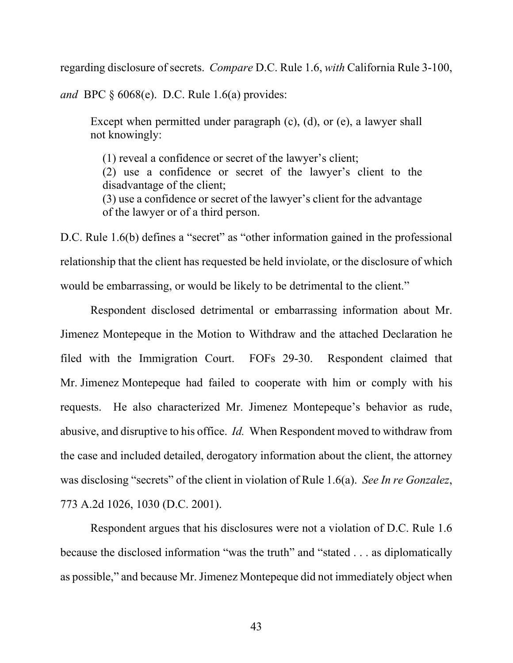regarding disclosure of secrets. *Compare* D.C. Rule 1.6, *with* California Rule 3-100,

*and* BPC § 6068(e). D.C. Rule 1.6(a) provides:

Except when permitted under paragraph (c), (d), or (e), a lawyer shall not knowingly:

(1) reveal a confidence or secret of the lawyer's client; (2) use a confidence or secret of the lawyer's client to the disadvantage of the client; (3) use a confidence or secret of the lawyer's client for the advantage of the lawyer or of a third person.

D.C. Rule 1.6(b) defines a "secret" as "other information gained in the professional relationship that the client has requested be held inviolate, or the disclosure of which would be embarrassing, or would be likely to be detrimental to the client."

Respondent disclosed detrimental or embarrassing information about Mr. Jimenez Montepeque in the Motion to Withdraw and the attached Declaration he filed with the Immigration Court. FOFs 29-30. Respondent claimed that Mr. Jimenez Montepeque had failed to cooperate with him or comply with his requests. He also characterized Mr. Jimenez Montepeque's behavior as rude, abusive, and disruptive to his office. *Id.* When Respondent moved to withdraw from the case and included detailed, derogatory information about the client, the attorney was disclosing "secrets" of the client in violation of Rule 1.6(a). *See In re Gonzalez*, 773 A.2d 1026, 1030 (D.C. 2001).

Respondent argues that his disclosures were not a violation of D.C. Rule 1.6 because the disclosed information "was the truth" and "stated . . . as diplomatically as possible," and because Mr. Jimenez Montepeque did not immediately object when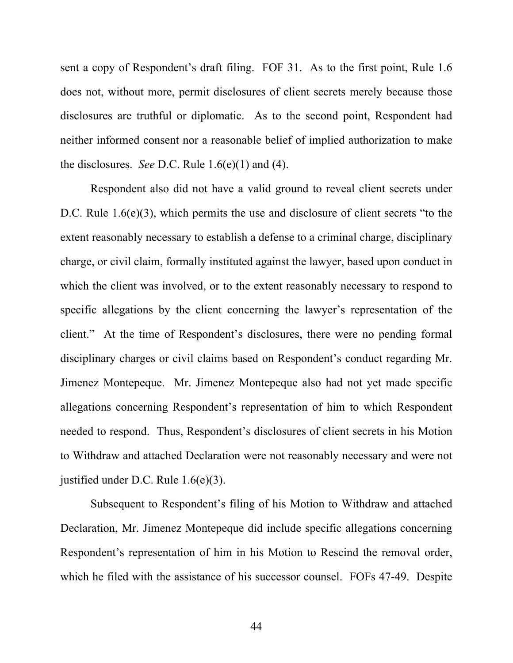sent a copy of Respondent's draft filing. FOF 31. As to the first point, Rule 1.6 does not, without more, permit disclosures of client secrets merely because those disclosures are truthful or diplomatic. As to the second point, Respondent had neither informed consent nor a reasonable belief of implied authorization to make the disclosures. *See* D.C. Rule 1.6(e)(1) and (4).

Respondent also did not have a valid ground to reveal client secrets under D.C. Rule 1.6(e)(3), which permits the use and disclosure of client secrets "to the extent reasonably necessary to establish a defense to a criminal charge, disciplinary charge, or civil claim, formally instituted against the lawyer, based upon conduct in which the client was involved, or to the extent reasonably necessary to respond to specific allegations by the client concerning the lawyer's representation of the client." At the time of Respondent's disclosures, there were no pending formal disciplinary charges or civil claims based on Respondent's conduct regarding Mr. Jimenez Montepeque. Mr. Jimenez Montepeque also had not yet made specific allegations concerning Respondent's representation of him to which Respondent needed to respond. Thus, Respondent's disclosures of client secrets in his Motion to Withdraw and attached Declaration were not reasonably necessary and were not justified under D.C. Rule 1.6(e)(3).

Subsequent to Respondent's filing of his Motion to Withdraw and attached Declaration, Mr. Jimenez Montepeque did include specific allegations concerning Respondent's representation of him in his Motion to Rescind the removal order, which he filed with the assistance of his successor counsel. FOFs 47-49. Despite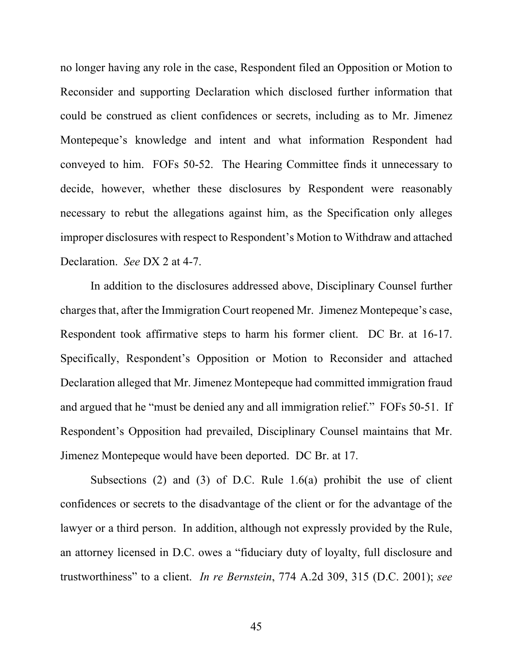no longer having any role in the case, Respondent filed an Opposition or Motion to Reconsider and supporting Declaration which disclosed further information that could be construed as client confidences or secrets, including as to Mr. Jimenez Montepeque's knowledge and intent and what information Respondent had conveyed to him. FOFs 50-52. The Hearing Committee finds it unnecessary to decide, however, whether these disclosures by Respondent were reasonably necessary to rebut the allegations against him, as the Specification only alleges improper disclosures with respect to Respondent's Motion to Withdraw and attached Declaration. *See* DX 2 at 4-7.

In addition to the disclosures addressed above, Disciplinary Counsel further charges that, after the Immigration Court reopened Mr. Jimenez Montepeque's case, Respondent took affirmative steps to harm his former client. DC Br. at 16-17. Specifically, Respondent's Opposition or Motion to Reconsider and attached Declaration alleged that Mr. Jimenez Montepeque had committed immigration fraud and argued that he "must be denied any and all immigration relief." FOFs 50-51. If Respondent's Opposition had prevailed, Disciplinary Counsel maintains that Mr. Jimenez Montepeque would have been deported. DC Br. at 17.

Subsections (2) and (3) of D.C. Rule  $1.6(a)$  prohibit the use of client confidences or secrets to the disadvantage of the client or for the advantage of the lawyer or a third person. In addition, although not expressly provided by the Rule, an attorney licensed in D.C. owes a "fiduciary duty of loyalty, full disclosure and trustworthiness" to a client. *In re Bernstein*, 774 A.2d 309, 315 (D.C. 2001); *see*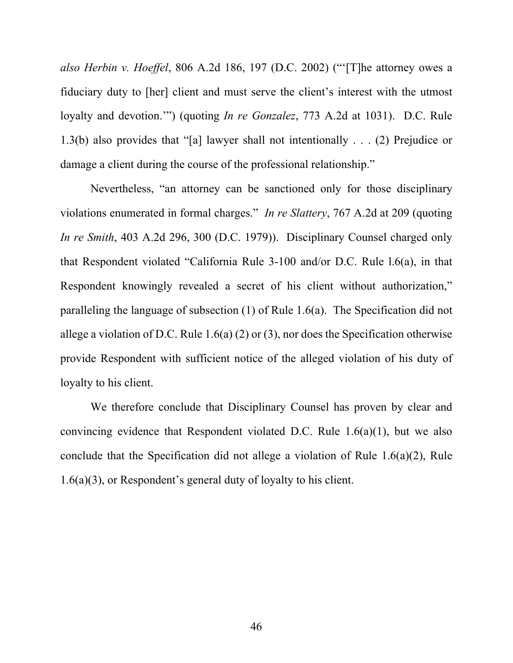*also Herbin v. Hoeffel*, 806 A.2d 186, 197 (D.C. 2002) ("'[T]he attorney owes a fiduciary duty to [her] client and must serve the client's interest with the utmost loyalty and devotion.'") (quoting *In re Gonzalez*, 773 A.2d at 1031). D.C. Rule 1.3(b) also provides that "[a] lawyer shall not intentionally . . . (2) Prejudice or damage a client during the course of the professional relationship."

Nevertheless, "an attorney can be sanctioned only for those disciplinary violations enumerated in formal charges." *In re Slattery*, 767 A.2d at 209 (quoting *In re Smith*, 403 A.2d 296, 300 (D.C. 1979)). Disciplinary Counsel charged only that Respondent violated "California Rule 3-100 and/or D.C. Rule l.6(a), in that Respondent knowingly revealed a secret of his client without authorization," paralleling the language of subsection (1) of Rule 1.6(a). The Specification did not allege a violation of D.C. Rule  $1.6(a)$  (2) or (3), nor does the Specification otherwise provide Respondent with sufficient notice of the alleged violation of his duty of loyalty to his client.

We therefore conclude that Disciplinary Counsel has proven by clear and convincing evidence that Respondent violated D.C. Rule 1.6(a)(1), but we also conclude that the Specification did not allege a violation of Rule 1.6(a)(2), Rule 1.6(a)(3), or Respondent's general duty of loyalty to his client.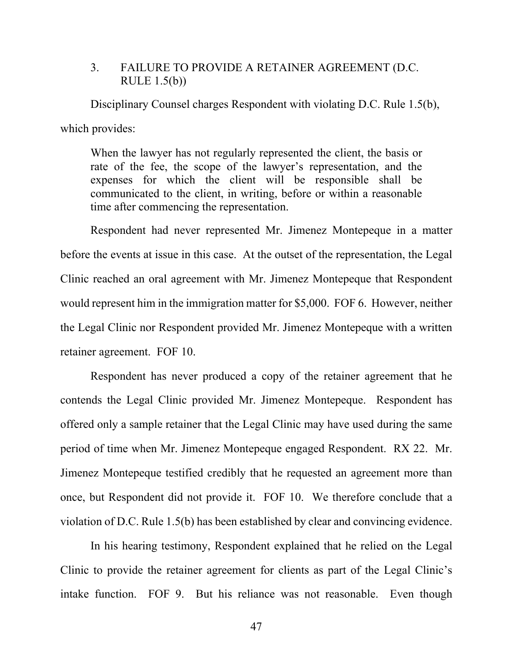# 3. FAILURE TO PROVIDE A RETAINER AGREEMENT (D.C. RULE 1.5(b))

 Disciplinary Counsel charges Respondent with violating D.C. Rule 1.5(b), which provides:

When the lawyer has not regularly represented the client, the basis or rate of the fee, the scope of the lawyer's representation, and the expenses for which the client will be responsible shall be communicated to the client, in writing, before or within a reasonable time after commencing the representation.

Respondent had never represented Mr. Jimenez Montepeque in a matter before the events at issue in this case. At the outset of the representation, the Legal Clinic reached an oral agreement with Mr. Jimenez Montepeque that Respondent would represent him in the immigration matter for \$5,000. FOF 6. However, neither the Legal Clinic nor Respondent provided Mr. Jimenez Montepeque with a written retainer agreement. FOF 10.

Respondent has never produced a copy of the retainer agreement that he contends the Legal Clinic provided Mr. Jimenez Montepeque. Respondent has offered only a sample retainer that the Legal Clinic may have used during the same period of time when Mr. Jimenez Montepeque engaged Respondent. RX 22. Mr. Jimenez Montepeque testified credibly that he requested an agreement more than once, but Respondent did not provide it. FOF 10. We therefore conclude that a violation of D.C. Rule 1.5(b) has been established by clear and convincing evidence.

In his hearing testimony, Respondent explained that he relied on the Legal Clinic to provide the retainer agreement for clients as part of the Legal Clinic's intake function. FOF 9. But his reliance was not reasonable. Even though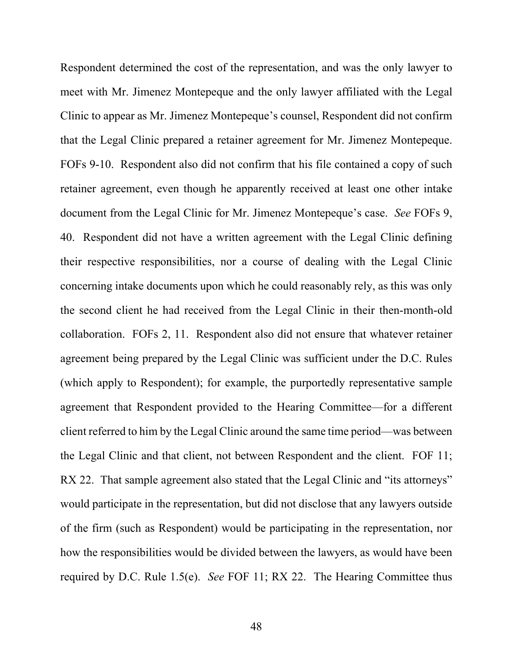Respondent determined the cost of the representation, and was the only lawyer to meet with Mr. Jimenez Montepeque and the only lawyer affiliated with the Legal Clinic to appear as Mr. Jimenez Montepeque's counsel, Respondent did not confirm that the Legal Clinic prepared a retainer agreement for Mr. Jimenez Montepeque. FOFs 9-10. Respondent also did not confirm that his file contained a copy of such retainer agreement, even though he apparently received at least one other intake document from the Legal Clinic for Mr. Jimenez Montepeque's case. *See* FOFs 9, 40. Respondent did not have a written agreement with the Legal Clinic defining their respective responsibilities, nor a course of dealing with the Legal Clinic concerning intake documents upon which he could reasonably rely, as this was only the second client he had received from the Legal Clinic in their then-month-old collaboration. FOFs 2, 11. Respondent also did not ensure that whatever retainer agreement being prepared by the Legal Clinic was sufficient under the D.C. Rules (which apply to Respondent); for example, the purportedly representative sample agreement that Respondent provided to the Hearing Committee—for a different client referred to him by the Legal Clinic around the same time period—was between the Legal Clinic and that client, not between Respondent and the client. FOF 11; RX 22. That sample agreement also stated that the Legal Clinic and "its attorneys" would participate in the representation, but did not disclose that any lawyers outside of the firm (such as Respondent) would be participating in the representation, nor how the responsibilities would be divided between the lawyers, as would have been required by D.C. Rule 1.5(e). *See* FOF 11; RX 22. The Hearing Committee thus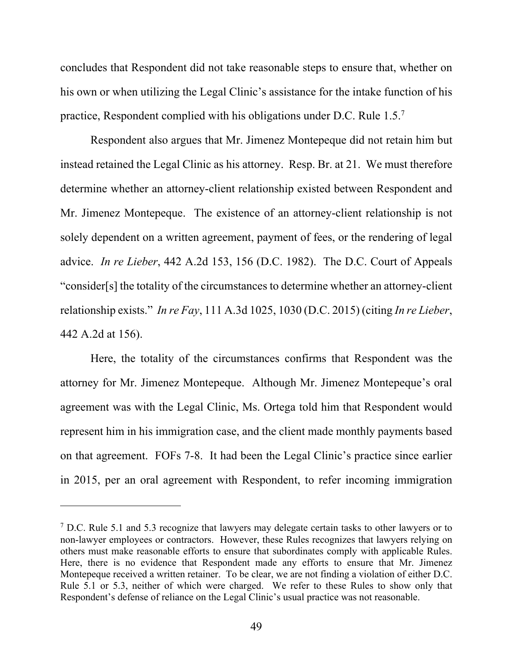concludes that Respondent did not take reasonable steps to ensure that, whether on his own or when utilizing the Legal Clinic's assistance for the intake function of his practice, Respondent complied with his obligations under D.C. Rule 1.5.<sup>7</sup>

Respondent also argues that Mr. Jimenez Montepeque did not retain him but instead retained the Legal Clinic as his attorney. Resp. Br. at 21. We must therefore determine whether an attorney-client relationship existed between Respondent and Mr. Jimenez Montepeque. The existence of an attorney-client relationship is not solely dependent on a written agreement, payment of fees, or the rendering of legal advice. *In re Lieber*, 442 A.2d 153, 156 (D.C. 1982). The D.C. Court of Appeals "consider[s] the totality of the circumstances to determine whether an attorney-client relationship exists." *In re Fay*, 111 A.3d 1025, 1030 (D.C. 2015) (citing *In re Lieber*, 442 A.2d at 156).

Here, the totality of the circumstances confirms that Respondent was the attorney for Mr. Jimenez Montepeque. Although Mr. Jimenez Montepeque's oral agreement was with the Legal Clinic, Ms. Ortega told him that Respondent would represent him in his immigration case, and the client made monthly payments based on that agreement. FOFs 7-8. It had been the Legal Clinic's practice since earlier in 2015, per an oral agreement with Respondent, to refer incoming immigration

<sup>&</sup>lt;sup>7</sup> D.C. Rule 5.1 and 5.3 recognize that lawyers may delegate certain tasks to other lawyers or to non-lawyer employees or contractors. However, these Rules recognizes that lawyers relying on others must make reasonable efforts to ensure that subordinates comply with applicable Rules. Here, there is no evidence that Respondent made any efforts to ensure that Mr. Jimenez Montepeque received a written retainer. To be clear, we are not finding a violation of either D.C. Rule 5.1 or 5.3, neither of which were charged. We refer to these Rules to show only that Respondent's defense of reliance on the Legal Clinic's usual practice was not reasonable.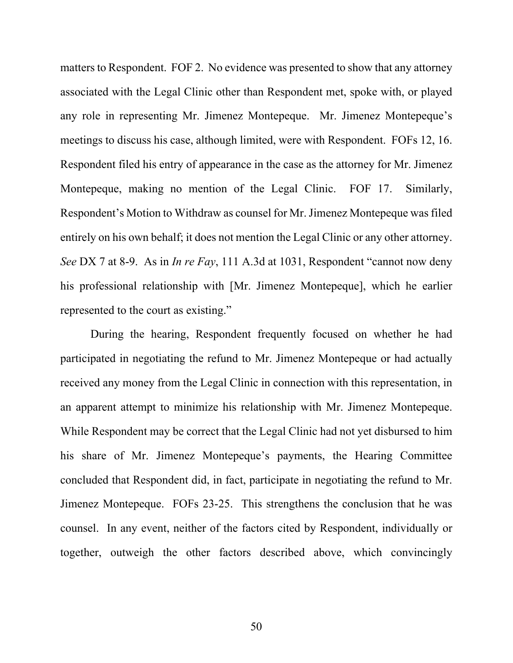matters to Respondent. FOF 2. No evidence was presented to show that any attorney associated with the Legal Clinic other than Respondent met, spoke with, or played any role in representing Mr. Jimenez Montepeque. Mr. Jimenez Montepeque's meetings to discuss his case, although limited, were with Respondent. FOFs 12, 16. Respondent filed his entry of appearance in the case as the attorney for Mr. Jimenez Montepeque, making no mention of the Legal Clinic. FOF 17. Similarly, Respondent's Motion to Withdraw as counsel for Mr. Jimenez Montepeque was filed entirely on his own behalf; it does not mention the Legal Clinic or any other attorney. *See* DX 7 at 8-9. As in *In re Fay*, 111 A.3d at 1031, Respondent "cannot now deny his professional relationship with [Mr. Jimenez Montepeque], which he earlier represented to the court as existing."

During the hearing, Respondent frequently focused on whether he had participated in negotiating the refund to Mr. Jimenez Montepeque or had actually received any money from the Legal Clinic in connection with this representation, in an apparent attempt to minimize his relationship with Mr. Jimenez Montepeque. While Respondent may be correct that the Legal Clinic had not yet disbursed to him his share of Mr. Jimenez Montepeque's payments, the Hearing Committee concluded that Respondent did, in fact, participate in negotiating the refund to Mr. Jimenez Montepeque. FOFs 23-25. This strengthens the conclusion that he was counsel. In any event, neither of the factors cited by Respondent, individually or together, outweigh the other factors described above, which convincingly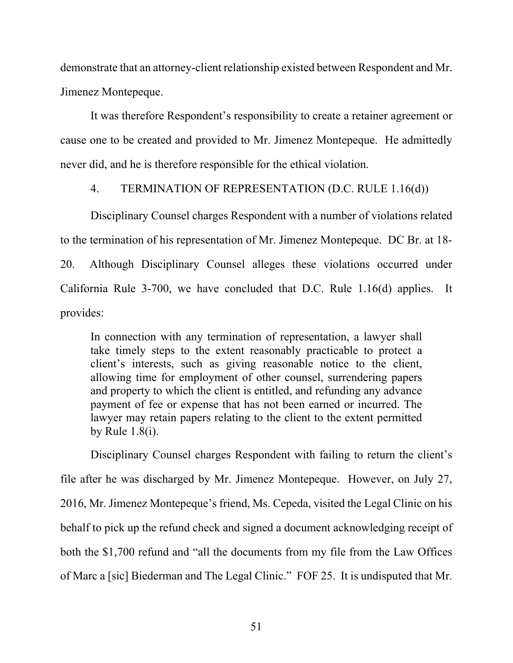demonstrate that an attorney-client relationship existed between Respondent and Mr. Jimenez Montepeque.

It was therefore Respondent's responsibility to create a retainer agreement or cause one to be created and provided to Mr. Jimenez Montepeque. He admittedly never did, and he is therefore responsible for the ethical violation.

### 4. TERMINATION OF REPRESENTATION (D.C. RULE 1.16(d))

Disciplinary Counsel charges Respondent with a number of violations related to the termination of his representation of Mr. Jimenez Montepeque. DC Br. at 18- 20. Although Disciplinary Counsel alleges these violations occurred under California Rule 3-700, we have concluded that D.C. Rule 1.16(d) applies. It provides:

In connection with any termination of representation, a lawyer shall take timely steps to the extent reasonably practicable to protect a client's interests, such as giving reasonable notice to the client, allowing time for employment of other counsel, surrendering papers and property to which the client is entitled, and refunding any advance payment of fee or expense that has not been earned or incurred. The lawyer may retain papers relating to the client to the extent permitted by Rule 1.8(i).

Disciplinary Counsel charges Respondent with failing to return the client's file after he was discharged by Mr. Jimenez Montepeque. However, on July 27, 2016, Mr. Jimenez Montepeque's friend, Ms. Cepeda, visited the Legal Clinic on his behalf to pick up the refund check and signed a document acknowledging receipt of both the \$1,700 refund and "all the documents from my file from the Law Offices of Marc a [sic] Biederman and The Legal Clinic." FOF 25. It is undisputed that Mr.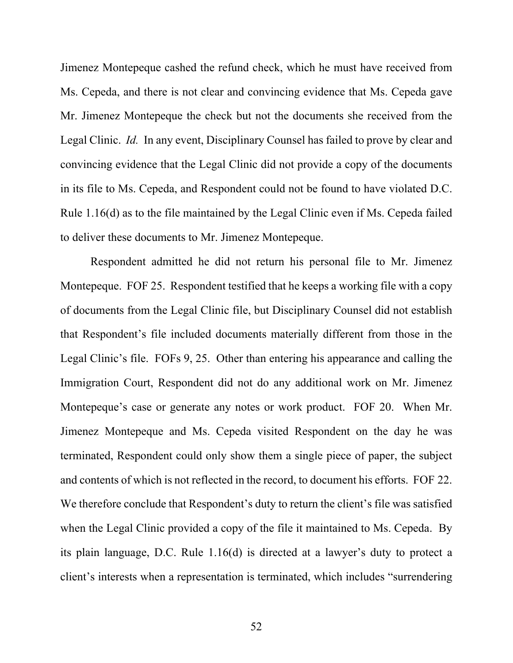Jimenez Montepeque cashed the refund check, which he must have received from Ms. Cepeda, and there is not clear and convincing evidence that Ms. Cepeda gave Mr. Jimenez Montepeque the check but not the documents she received from the Legal Clinic. *Id.* In any event, Disciplinary Counsel has failed to prove by clear and convincing evidence that the Legal Clinic did not provide a copy of the documents in its file to Ms. Cepeda, and Respondent could not be found to have violated D.C. Rule 1.16(d) as to the file maintained by the Legal Clinic even if Ms. Cepeda failed to deliver these documents to Mr. Jimenez Montepeque.

Respondent admitted he did not return his personal file to Mr. Jimenez Montepeque. FOF 25. Respondent testified that he keeps a working file with a copy of documents from the Legal Clinic file, but Disciplinary Counsel did not establish that Respondent's file included documents materially different from those in the Legal Clinic's file. FOFs 9, 25. Other than entering his appearance and calling the Immigration Court, Respondent did not do any additional work on Mr. Jimenez Montepeque's case or generate any notes or work product. FOF 20. When Mr. Jimenez Montepeque and Ms. Cepeda visited Respondent on the day he was terminated, Respondent could only show them a single piece of paper, the subject and contents of which is not reflected in the record, to document his efforts. FOF 22. We therefore conclude that Respondent's duty to return the client's file was satisfied when the Legal Clinic provided a copy of the file it maintained to Ms. Cepeda. By its plain language, D.C. Rule 1.16(d) is directed at a lawyer's duty to protect a client's interests when a representation is terminated, which includes "surrendering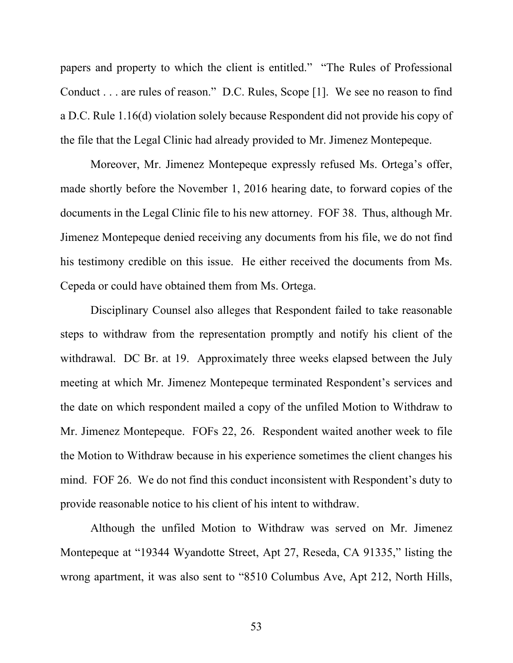papers and property to which the client is entitled." "The Rules of Professional Conduct . . . are rules of reason." D.C. Rules, Scope [1]. We see no reason to find a D.C. Rule 1.16(d) violation solely because Respondent did not provide his copy of the file that the Legal Clinic had already provided to Mr. Jimenez Montepeque.

Moreover, Mr. Jimenez Montepeque expressly refused Ms. Ortega's offer, made shortly before the November 1, 2016 hearing date, to forward copies of the documents in the Legal Clinic file to his new attorney. FOF 38. Thus, although Mr. Jimenez Montepeque denied receiving any documents from his file, we do not find his testimony credible on this issue. He either received the documents from Ms. Cepeda or could have obtained them from Ms. Ortega.

Disciplinary Counsel also alleges that Respondent failed to take reasonable steps to withdraw from the representation promptly and notify his client of the withdrawal. DC Br. at 19. Approximately three weeks elapsed between the July meeting at which Mr. Jimenez Montepeque terminated Respondent's services and the date on which respondent mailed a copy of the unfiled Motion to Withdraw to Mr. Jimenez Montepeque. FOFs 22, 26. Respondent waited another week to file the Motion to Withdraw because in his experience sometimes the client changes his mind. FOF 26. We do not find this conduct inconsistent with Respondent's duty to provide reasonable notice to his client of his intent to withdraw.

Although the unfiled Motion to Withdraw was served on Mr. Jimenez Montepeque at "19344 Wyandotte Street, Apt 27, Reseda, CA 91335," listing the wrong apartment, it was also sent to "8510 Columbus Ave, Apt 212, North Hills,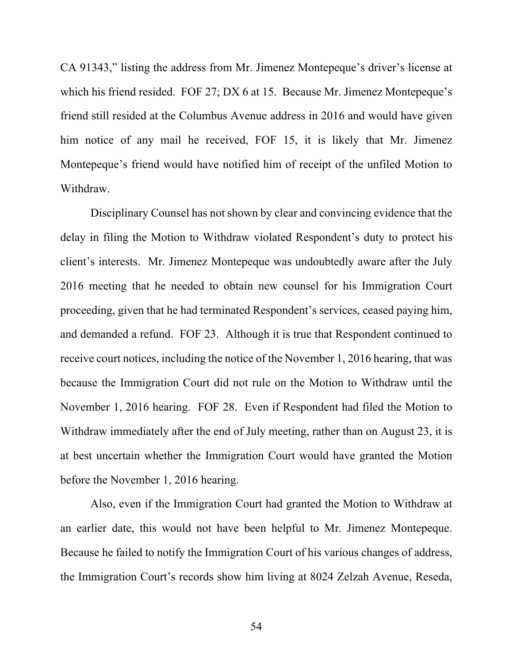CA 91343," listing the address from Mr. Jimenez Montepeque's driver's license at which his friend resided. FOF 27; DX 6 at 15. Because Mr. Jimenez Montepeque's friend still resided at the Columbus Avenue address in 2016 and would have given him notice of any mail he received, FOF 15, it is likely that Mr. Jimenez Montepeque's friend would have notified him of receipt of the unfiled Motion to Withdraw.

Disciplinary Counsel has not shown by clear and convincing evidence that the delay in filing the Motion to Withdraw violated Respondent's duty to protect his client's interests. Mr. Jimenez Montepeque was undoubtedly aware after the July 2016 meeting that he needed to obtain new counsel for his Immigration Court proceeding, given that he had terminated Respondent's services, ceased paying him, and demanded a refund. FOF 23. Although it is true that Respondent continued to receive court notices, including the notice of the November 1, 2016 hearing, that was because the Immigration Court did not rule on the Motion to Withdraw until the November 1, 2016 hearing. FOF 28. Even if Respondent had filed the Motion to Withdraw immediately after the end of July meeting, rather than on August 23, it is at best uncertain whether the Immigration Court would have granted the Motion before the November 1, 2016 hearing.

Also, even if the Immigration Court had granted the Motion to Withdraw at an earlier date, this would not have been helpful to Mr. Jimenez Montepeque. Because he failed to notify the Immigration Court of his various changes of address, the Immigration Court's records show him living at 8024 Zelzah Avenue, Reseda,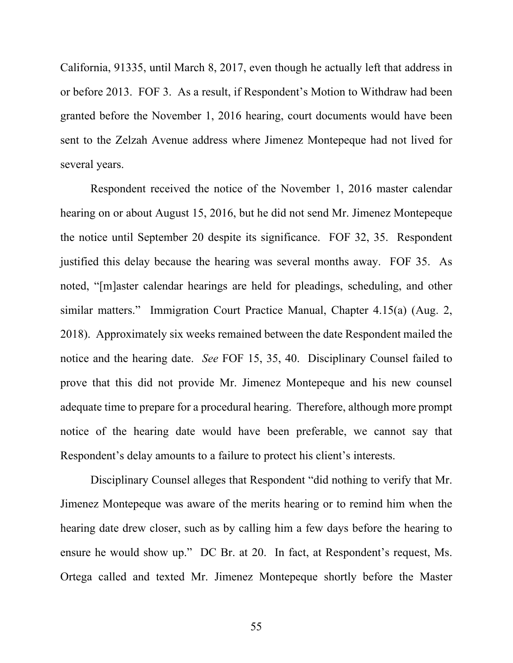California, 91335, until March 8, 2017, even though he actually left that address in or before 2013. FOF 3. As a result, if Respondent's Motion to Withdraw had been granted before the November 1, 2016 hearing, court documents would have been sent to the Zelzah Avenue address where Jimenez Montepeque had not lived for several years.

Respondent received the notice of the November 1, 2016 master calendar hearing on or about August 15, 2016, but he did not send Mr. Jimenez Montepeque the notice until September 20 despite its significance. FOF 32, 35. Respondent justified this delay because the hearing was several months away. FOF 35. As noted, "[m]aster calendar hearings are held for pleadings, scheduling, and other similar matters." Immigration Court Practice Manual, Chapter 4.15(a) (Aug. 2, 2018). Approximately six weeks remained between the date Respondent mailed the notice and the hearing date. *See* FOF 15, 35, 40. Disciplinary Counsel failed to prove that this did not provide Mr. Jimenez Montepeque and his new counsel adequate time to prepare for a procedural hearing. Therefore, although more prompt notice of the hearing date would have been preferable, we cannot say that Respondent's delay amounts to a failure to protect his client's interests.

Disciplinary Counsel alleges that Respondent "did nothing to verify that Mr. Jimenez Montepeque was aware of the merits hearing or to remind him when the hearing date drew closer, such as by calling him a few days before the hearing to ensure he would show up." DC Br. at 20. In fact, at Respondent's request, Ms. Ortega called and texted Mr. Jimenez Montepeque shortly before the Master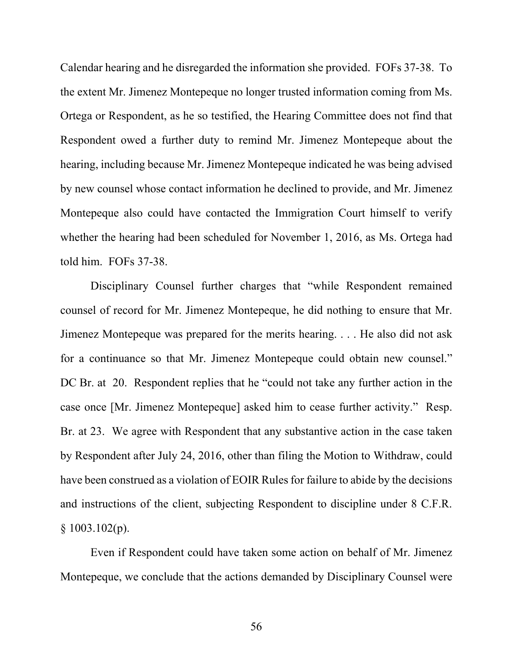Calendar hearing and he disregarded the information she provided. FOFs 37-38. To the extent Mr. Jimenez Montepeque no longer trusted information coming from Ms. Ortega or Respondent, as he so testified, the Hearing Committee does not find that Respondent owed a further duty to remind Mr. Jimenez Montepeque about the hearing, including because Mr. Jimenez Montepeque indicated he was being advised by new counsel whose contact information he declined to provide, and Mr. Jimenez Montepeque also could have contacted the Immigration Court himself to verify whether the hearing had been scheduled for November 1, 2016, as Ms. Ortega had told him. FOFs 37-38.

Disciplinary Counsel further charges that "while Respondent remained counsel of record for Mr. Jimenez Montepeque, he did nothing to ensure that Mr. Jimenez Montepeque was prepared for the merits hearing. . . . He also did not ask for a continuance so that Mr. Jimenez Montepeque could obtain new counsel." DC Br. at 20. Respondent replies that he "could not take any further action in the case once [Mr. Jimenez Montepeque] asked him to cease further activity." Resp. Br. at 23. We agree with Respondent that any substantive action in the case taken by Respondent after July 24, 2016, other than filing the Motion to Withdraw, could have been construed as a violation of EOIR Rules for failure to abide by the decisions and instructions of the client, subjecting Respondent to discipline under 8 C.F.R.  $§ 1003.102(p).$ 

Even if Respondent could have taken some action on behalf of Mr. Jimenez Montepeque, we conclude that the actions demanded by Disciplinary Counsel were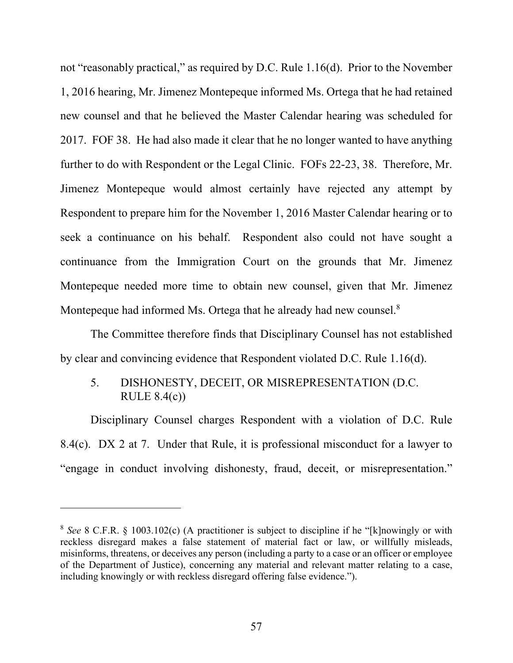not "reasonably practical," as required by D.C. Rule 1.16(d). Prior to the November 1, 2016 hearing, Mr. Jimenez Montepeque informed Ms. Ortega that he had retained new counsel and that he believed the Master Calendar hearing was scheduled for 2017. FOF 38. He had also made it clear that he no longer wanted to have anything further to do with Respondent or the Legal Clinic. FOFs 22-23, 38. Therefore, Mr. Jimenez Montepeque would almost certainly have rejected any attempt by Respondent to prepare him for the November 1, 2016 Master Calendar hearing or to seek a continuance on his behalf. Respondent also could not have sought a continuance from the Immigration Court on the grounds that Mr. Jimenez Montepeque needed more time to obtain new counsel, given that Mr. Jimenez Montepeque had informed Ms. Ortega that he already had new counsel. $8$ 

The Committee therefore finds that Disciplinary Counsel has not established by clear and convincing evidence that Respondent violated D.C. Rule 1.16(d).

# 5. DISHONESTY, DECEIT, OR MISREPRESENTATION (D.C. RULE 8.4(c))

Disciplinary Counsel charges Respondent with a violation of D.C. Rule 8.4(c). DX 2 at 7. Under that Rule, it is professional misconduct for a lawyer to "engage in conduct involving dishonesty, fraud, deceit, or misrepresentation."

<sup>8</sup> *See* 8 C.F.R. § 1003.102(c) (A practitioner is subject to discipline if he "[k]nowingly or with reckless disregard makes a false statement of material fact or law, or willfully misleads, misinforms, threatens, or deceives any person (including a party to a case or an officer or employee of the Department of Justice), concerning any material and relevant matter relating to a case, including knowingly or with reckless disregard offering false evidence.").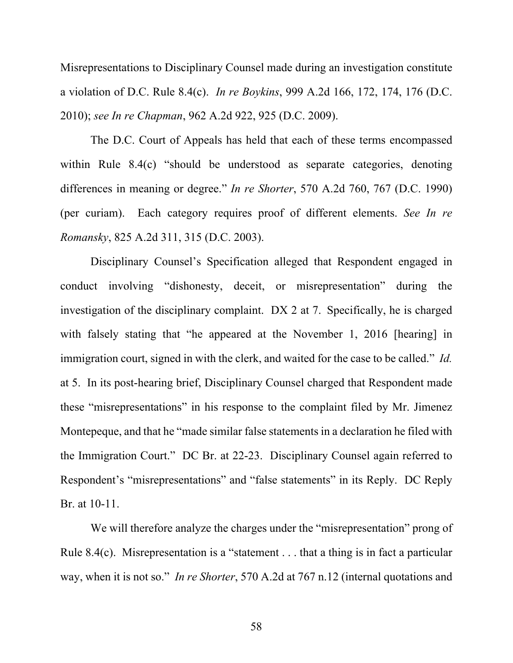Misrepresentations to Disciplinary Counsel made during an investigation constitute a violation of D.C. Rule 8.4(c). *In re Boykins*, 999 A.2d 166, 172, 174, 176 (D.C. 2010); *see In re Chapman*, 962 A.2d 922, 925 (D.C. 2009).

The D.C. Court of Appeals has held that each of these terms encompassed within Rule 8.4(c) "should be understood as separate categories, denoting differences in meaning or degree." *In re Shorter*, 570 A.2d 760, 767 (D.C. 1990) (per curiam). Each category requires proof of different elements. *See In re Romansky*, 825 A.2d 311, 315 (D.C. 2003).

Disciplinary Counsel's Specification alleged that Respondent engaged in conduct involving "dishonesty, deceit, or misrepresentation" during the investigation of the disciplinary complaint. DX 2 at 7. Specifically, he is charged with falsely stating that "he appeared at the November 1, 2016 [hearing] in immigration court, signed in with the clerk, and waited for the case to be called." *Id.* at 5. In its post-hearing brief, Disciplinary Counsel charged that Respondent made these "misrepresentations" in his response to the complaint filed by Mr. Jimenez Montepeque, and that he "made similar false statements in a declaration he filed with the Immigration Court." DC Br. at 22-23. Disciplinary Counsel again referred to Respondent's "misrepresentations" and "false statements" in its Reply. DC Reply Br. at 10-11.

We will therefore analyze the charges under the "misrepresentation" prong of Rule 8.4(c). Misrepresentation is a "statement . . . that a thing is in fact a particular way, when it is not so." *In re Shorter*, 570 A.2d at 767 n.12 (internal quotations and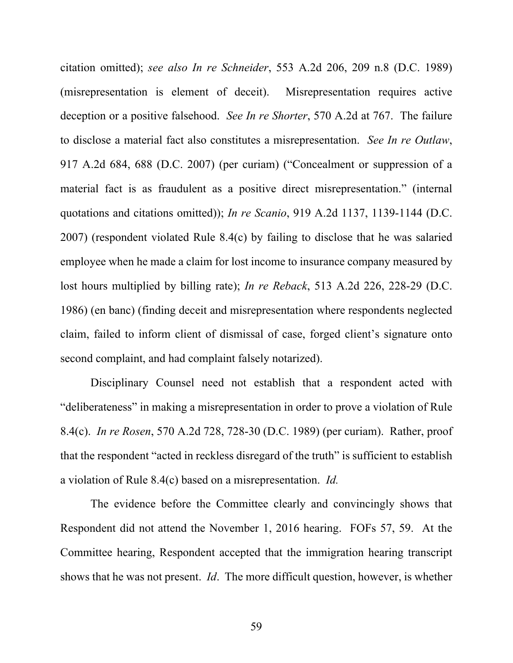citation omitted); *see also In re Schneider*, 553 A.2d 206, 209 n.8 (D.C. 1989) (misrepresentation is element of deceit). Misrepresentation requires active deception or a positive falsehood. *See In re Shorter*, 570 A.2d at 767. The failure to disclose a material fact also constitutes a misrepresentation. *See In re Outlaw*, 917 A.2d 684, 688 (D.C. 2007) (per curiam) ("Concealment or suppression of a material fact is as fraudulent as a positive direct misrepresentation." (internal quotations and citations omitted)); *In re Scanio*, 919 A.2d 1137, 1139-1144 (D.C. 2007) (respondent violated Rule 8.4(c) by failing to disclose that he was salaried employee when he made a claim for lost income to insurance company measured by lost hours multiplied by billing rate); *In re Reback*, 513 A.2d 226, 228-29 (D.C. 1986) (en banc) (finding deceit and misrepresentation where respondents neglected claim, failed to inform client of dismissal of case, forged client's signature onto second complaint, and had complaint falsely notarized).

Disciplinary Counsel need not establish that a respondent acted with "deliberateness" in making a misrepresentation in order to prove a violation of Rule 8.4(c). *In re Rosen*, 570 A.2d 728, 728-30 (D.C. 1989) (per curiam). Rather, proof that the respondent "acted in reckless disregard of the truth" is sufficient to establish a violation of Rule 8.4(c) based on a misrepresentation. *Id.*

The evidence before the Committee clearly and convincingly shows that Respondent did not attend the November 1, 2016 hearing. FOFs 57, 59. At the Committee hearing, Respondent accepted that the immigration hearing transcript shows that he was not present. *Id*. The more difficult question, however, is whether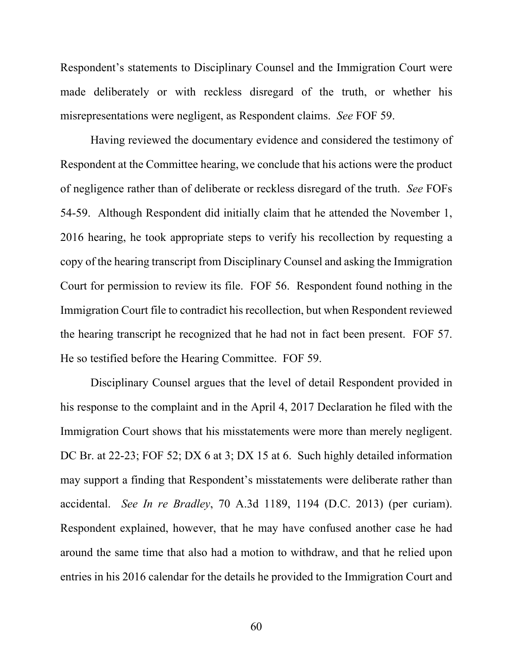Respondent's statements to Disciplinary Counsel and the Immigration Court were made deliberately or with reckless disregard of the truth, or whether his misrepresentations were negligent, as Respondent claims. *See* FOF 59.

Having reviewed the documentary evidence and considered the testimony of Respondent at the Committee hearing, we conclude that his actions were the product of negligence rather than of deliberate or reckless disregard of the truth. *See* FOFs 54-59. Although Respondent did initially claim that he attended the November 1, 2016 hearing, he took appropriate steps to verify his recollection by requesting a copy of the hearing transcript from Disciplinary Counsel and asking the Immigration Court for permission to review its file. FOF 56. Respondent found nothing in the Immigration Court file to contradict his recollection, but when Respondent reviewed the hearing transcript he recognized that he had not in fact been present. FOF 57. He so testified before the Hearing Committee. FOF 59.

Disciplinary Counsel argues that the level of detail Respondent provided in his response to the complaint and in the April 4, 2017 Declaration he filed with the Immigration Court shows that his misstatements were more than merely negligent. DC Br. at 22-23; FOF 52; DX 6 at 3; DX 15 at 6. Such highly detailed information may support a finding that Respondent's misstatements were deliberate rather than accidental. *See In re Bradley*, 70 A.3d 1189, 1194 (D.C. 2013) (per curiam). Respondent explained, however, that he may have confused another case he had around the same time that also had a motion to withdraw, and that he relied upon entries in his 2016 calendar for the details he provided to the Immigration Court and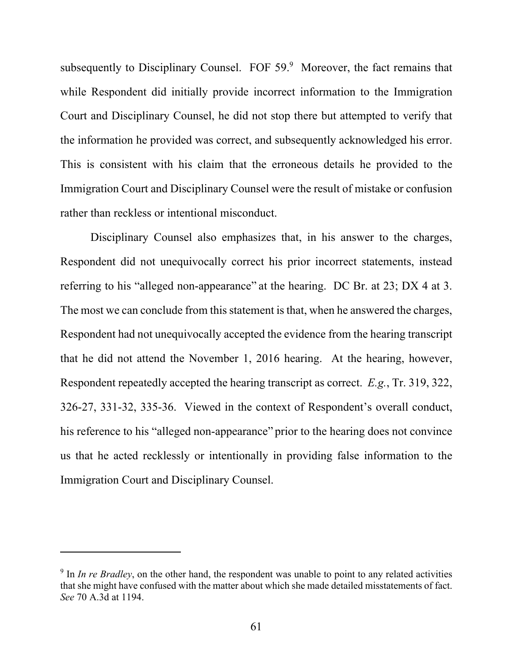subsequently to Disciplinary Counsel. FOF  $59.9$  Moreover, the fact remains that while Respondent did initially provide incorrect information to the Immigration Court and Disciplinary Counsel, he did not stop there but attempted to verify that the information he provided was correct, and subsequently acknowledged his error. This is consistent with his claim that the erroneous details he provided to the Immigration Court and Disciplinary Counsel were the result of mistake or confusion rather than reckless or intentional misconduct.

Disciplinary Counsel also emphasizes that, in his answer to the charges, Respondent did not unequivocally correct his prior incorrect statements, instead referring to his "alleged non-appearance" at the hearing. DC Br. at 23; DX 4 at 3. The most we can conclude from this statement is that, when he answered the charges, Respondent had not unequivocally accepted the evidence from the hearing transcript that he did not attend the November 1, 2016 hearing. At the hearing, however, Respondent repeatedly accepted the hearing transcript as correct. *E.g.*, Tr. 319, 322, 326-27, 331-32, 335-36. Viewed in the context of Respondent's overall conduct, his reference to his "alleged non-appearance" prior to the hearing does not convince us that he acted recklessly or intentionally in providing false information to the Immigration Court and Disciplinary Counsel.

<sup>&</sup>lt;sup>9</sup> In *In re Bradley*, on the other hand, the respondent was unable to point to any related activities that she might have confused with the matter about which she made detailed misstatements of fact. *See* 70 A.3d at 1194.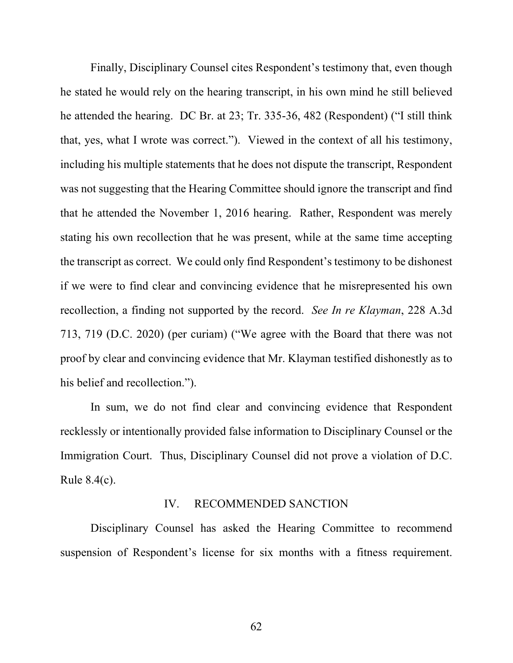Finally, Disciplinary Counsel cites Respondent's testimony that, even though he stated he would rely on the hearing transcript, in his own mind he still believed he attended the hearing. DC Br. at 23; Tr. 335-36, 482 (Respondent) ("I still think that, yes, what I wrote was correct."). Viewed in the context of all his testimony, including his multiple statements that he does not dispute the transcript, Respondent was not suggesting that the Hearing Committee should ignore the transcript and find that he attended the November 1, 2016 hearing. Rather, Respondent was merely stating his own recollection that he was present, while at the same time accepting the transcript as correct. We could only find Respondent's testimony to be dishonest if we were to find clear and convincing evidence that he misrepresented his own recollection, a finding not supported by the record. *See In re Klayman*, 228 A.3d 713, 719 (D.C. 2020) (per curiam) ("We agree with the Board that there was not proof by clear and convincing evidence that Mr. Klayman testified dishonestly as to his belief and recollection.").

In sum, we do not find clear and convincing evidence that Respondent recklessly or intentionally provided false information to Disciplinary Counsel or the Immigration Court. Thus, Disciplinary Counsel did not prove a violation of D.C. Rule 8.4(c).

#### IV. RECOMMENDED SANCTION

Disciplinary Counsel has asked the Hearing Committee to recommend suspension of Respondent's license for six months with a fitness requirement.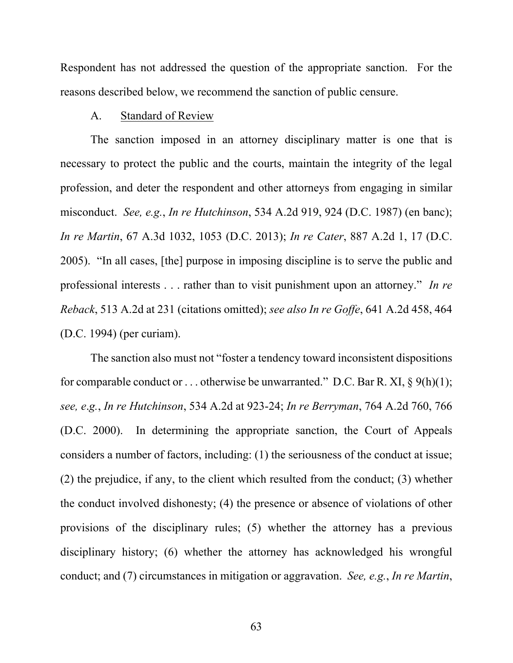Respondent has not addressed the question of the appropriate sanction. For the reasons described below, we recommend the sanction of public censure.

#### A. Standard of Review

The sanction imposed in an attorney disciplinary matter is one that is necessary to protect the public and the courts, maintain the integrity of the legal profession, and deter the respondent and other attorneys from engaging in similar misconduct. *See, e.g.*, *In re Hutchinson*, 534 A.2d 919, 924 (D.C. 1987) (en banc); *In re Martin*, 67 A.3d 1032, 1053 (D.C. 2013); *In re Cater*, 887 A.2d 1, 17 (D.C. 2005). "In all cases, [the] purpose in imposing discipline is to serve the public and professional interests . . . rather than to visit punishment upon an attorney." *In re Reback*, 513 A.2d at 231 (citations omitted); *see also In re Goffe*, 641 A.2d 458, 464 (D.C. 1994) (per curiam).

The sanction also must not "foster a tendency toward inconsistent dispositions for comparable conduct or ... otherwise be unwarranted." D.C. Bar R. XI,  $\S$  9(h)(1); *see, e*.*g.*, *In re Hutchinson*, 534 A.2d at 923-24; *In re Berryman*, 764 A.2d 760, 766 (D.C. 2000). In determining the appropriate sanction, the Court of Appeals considers a number of factors, including: (1) the seriousness of the conduct at issue; (2) the prejudice, if any, to the client which resulted from the conduct; (3) whether the conduct involved dishonesty; (4) the presence or absence of violations of other provisions of the disciplinary rules; (5) whether the attorney has a previous disciplinary history; (6) whether the attorney has acknowledged his wrongful conduct; and (7) circumstances in mitigation or aggravation. *See, e.g.*, *In re Martin*,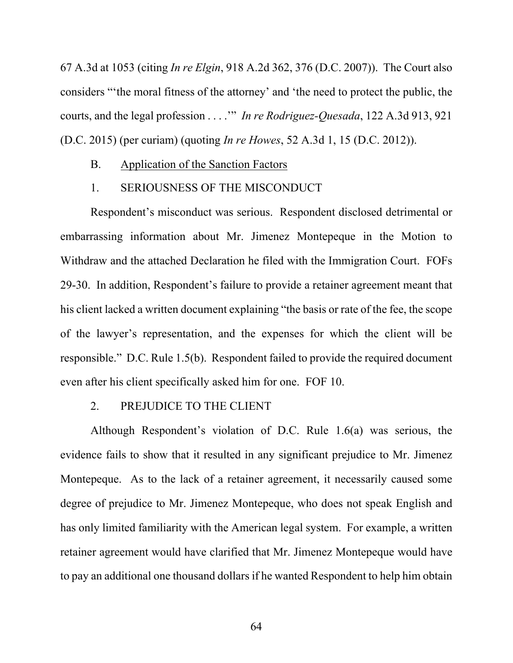67 A.3d at 1053 (citing *In re Elgin*, 918 A.2d 362, 376 (D.C. 2007)). The Court also considers "'the moral fitness of the attorney' and 'the need to protect the public, the courts, and the legal profession . . . .'" *In re Rodriguez-Quesada*, 122 A.3d 913, 921 (D.C. 2015) (per curiam) (quoting *In re Howes*, 52 A.3d 1, 15 (D.C. 2012)).

- B. Application of the Sanction Factors
- 1. SERIOUSNESS OF THE MISCONDUCT

Respondent's misconduct was serious. Respondent disclosed detrimental or embarrassing information about Mr. Jimenez Montepeque in the Motion to Withdraw and the attached Declaration he filed with the Immigration Court. FOFs 29-30. In addition, Respondent's failure to provide a retainer agreement meant that his client lacked a written document explaining "the basis or rate of the fee, the scope of the lawyer's representation, and the expenses for which the client will be responsible." D.C. Rule 1.5(b). Respondent failed to provide the required document even after his client specifically asked him for one. FOF 10.

# 2. PREJUDICE TO THE CLIENT

Although Respondent's violation of D.C. Rule 1.6(a) was serious, the evidence fails to show that it resulted in any significant prejudice to Mr. Jimenez Montepeque. As to the lack of a retainer agreement, it necessarily caused some degree of prejudice to Mr. Jimenez Montepeque, who does not speak English and has only limited familiarity with the American legal system. For example, a written retainer agreement would have clarified that Mr. Jimenez Montepeque would have to pay an additional one thousand dollars if he wanted Respondent to help him obtain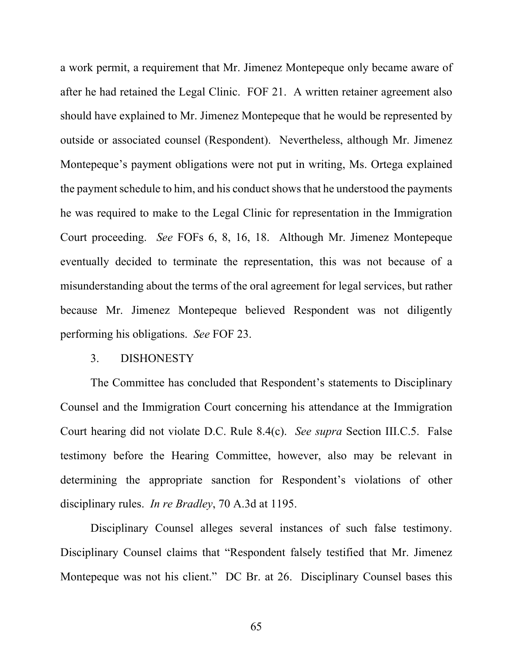a work permit, a requirement that Mr. Jimenez Montepeque only became aware of after he had retained the Legal Clinic. FOF 21. A written retainer agreement also should have explained to Mr. Jimenez Montepeque that he would be represented by outside or associated counsel (Respondent). Nevertheless, although Mr. Jimenez Montepeque's payment obligations were not put in writing, Ms. Ortega explained the payment schedule to him, and his conduct shows that he understood the payments he was required to make to the Legal Clinic for representation in the Immigration Court proceeding. *See* FOFs 6, 8, 16, 18. Although Mr. Jimenez Montepeque eventually decided to terminate the representation, this was not because of a misunderstanding about the terms of the oral agreement for legal services, but rather because Mr. Jimenez Montepeque believed Respondent was not diligently performing his obligations. *See* FOF 23.

#### 3. DISHONESTY

The Committee has concluded that Respondent's statements to Disciplinary Counsel and the Immigration Court concerning his attendance at the Immigration Court hearing did not violate D.C. Rule 8.4(c). *See supra* Section III.C.5. False testimony before the Hearing Committee, however, also may be relevant in determining the appropriate sanction for Respondent's violations of other disciplinary rules. *In re Bradley*, 70 A.3d at 1195.

Disciplinary Counsel alleges several instances of such false testimony. Disciplinary Counsel claims that "Respondent falsely testified that Mr. Jimenez Montepeque was not his client." DC Br. at 26. Disciplinary Counsel bases this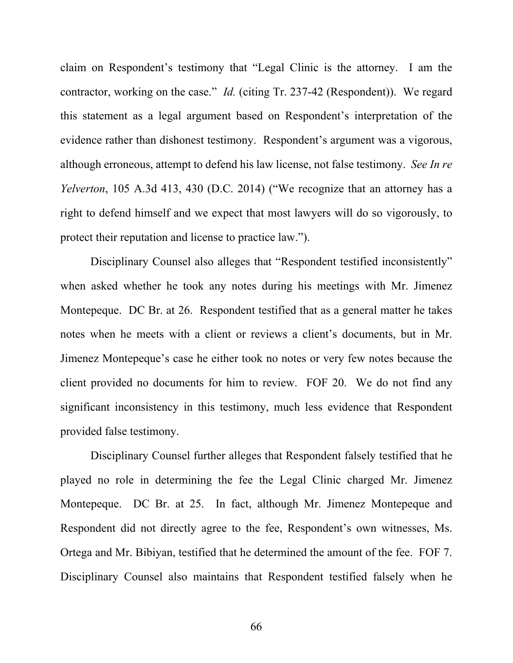claim on Respondent's testimony that "Legal Clinic is the attorney. I am the contractor, working on the case." *Id.* (citing Tr. 237-42 (Respondent)). We regard this statement as a legal argument based on Respondent's interpretation of the evidence rather than dishonest testimony. Respondent's argument was a vigorous, although erroneous, attempt to defend his law license, not false testimony. *See In re Yelverton*, 105 A.3d 413, 430 (D.C. 2014) ("We recognize that an attorney has a right to defend himself and we expect that most lawyers will do so vigorously, to protect their reputation and license to practice law.").

Disciplinary Counsel also alleges that "Respondent testified inconsistently" when asked whether he took any notes during his meetings with Mr. Jimenez Montepeque. DC Br. at 26. Respondent testified that as a general matter he takes notes when he meets with a client or reviews a client's documents, but in Mr. Jimenez Montepeque's case he either took no notes or very few notes because the client provided no documents for him to review. FOF 20. We do not find any significant inconsistency in this testimony, much less evidence that Respondent provided false testimony.

Disciplinary Counsel further alleges that Respondent falsely testified that he played no role in determining the fee the Legal Clinic charged Mr. Jimenez Montepeque. DC Br. at 25. In fact, although Mr. Jimenez Montepeque and Respondent did not directly agree to the fee, Respondent's own witnesses, Ms. Ortega and Mr. Bibiyan, testified that he determined the amount of the fee. FOF 7. Disciplinary Counsel also maintains that Respondent testified falsely when he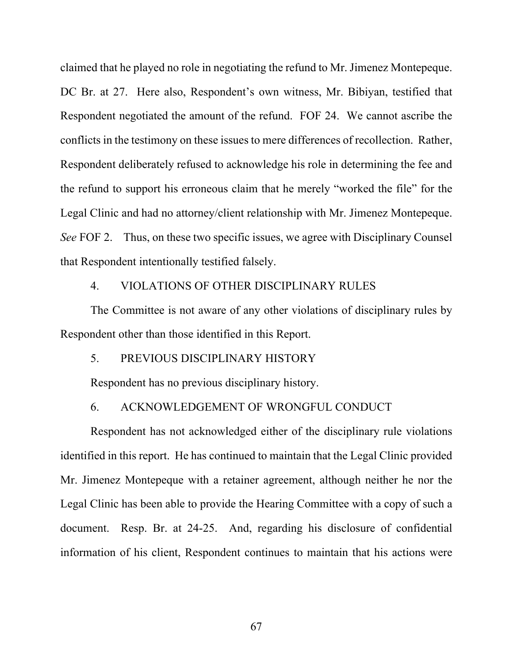claimed that he played no role in negotiating the refund to Mr. Jimenez Montepeque. DC Br. at 27. Here also, Respondent's own witness, Mr. Bibiyan, testified that Respondent negotiated the amount of the refund. FOF 24. We cannot ascribe the conflicts in the testimony on these issues to mere differences of recollection. Rather, Respondent deliberately refused to acknowledge his role in determining the fee and the refund to support his erroneous claim that he merely "worked the file" for the Legal Clinic and had no attorney/client relationship with Mr. Jimenez Montepeque. *See* FOF 2. Thus, on these two specific issues, we agree with Disciplinary Counsel that Respondent intentionally testified falsely.

#### 4. VIOLATIONS OF OTHER DISCIPLINARY RULES

The Committee is not aware of any other violations of disciplinary rules by Respondent other than those identified in this Report.

#### 5. PREVIOUS DISCIPLINARY HISTORY

Respondent has no previous disciplinary history.

### 6. ACKNOWLEDGEMENT OF WRONGFUL CONDUCT

Respondent has not acknowledged either of the disciplinary rule violations identified in this report. He has continued to maintain that the Legal Clinic provided Mr. Jimenez Montepeque with a retainer agreement, although neither he nor the Legal Clinic has been able to provide the Hearing Committee with a copy of such a document. Resp. Br. at 24-25. And, regarding his disclosure of confidential information of his client, Respondent continues to maintain that his actions were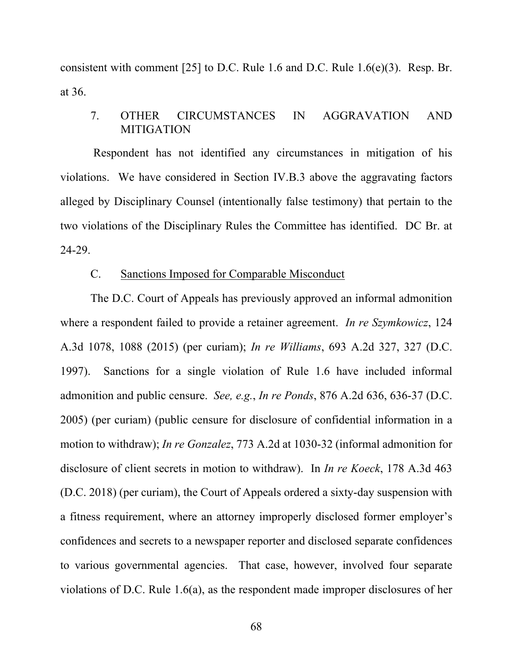consistent with comment [25] to D.C. Rule 1.6 and D.C. Rule 1.6(e)(3). Resp. Br. at 36.

## 7. OTHER CIRCUMSTANCES IN AGGRAVATION AND MITIGATION

 Respondent has not identified any circumstances in mitigation of his violations. We have considered in Section IV.B.3 above the aggravating factors alleged by Disciplinary Counsel (intentionally false testimony) that pertain to the two violations of the Disciplinary Rules the Committee has identified. DC Br. at 24-29.

## C. Sanctions Imposed for Comparable Misconduct

The D.C. Court of Appeals has previously approved an informal admonition where a respondent failed to provide a retainer agreement. *In re Szymkowicz*, 124 A.3d 1078, 1088 (2015) (per curiam); *In re Williams*, 693 A.2d 327, 327 (D.C. 1997). Sanctions for a single violation of Rule 1.6 have included informal admonition and public censure. *See, e.g.*, *In re Ponds*, 876 A.2d 636, 636-37 (D.C. 2005) (per curiam) (public censure for disclosure of confidential information in a motion to withdraw); *In re Gonzalez*, 773 A.2d at 1030-32 (informal admonition for disclosure of client secrets in motion to withdraw).In *In re Koeck*, 178 A.3d 463 (D.C. 2018) (per curiam), the Court of Appeals ordered a sixty-day suspension with a fitness requirement, where an attorney improperly disclosed former employer's confidences and secrets to a newspaper reporter and disclosed separate confidences to various governmental agencies. That case, however, involved four separate violations of D.C. Rule 1.6(a), as the respondent made improper disclosures of her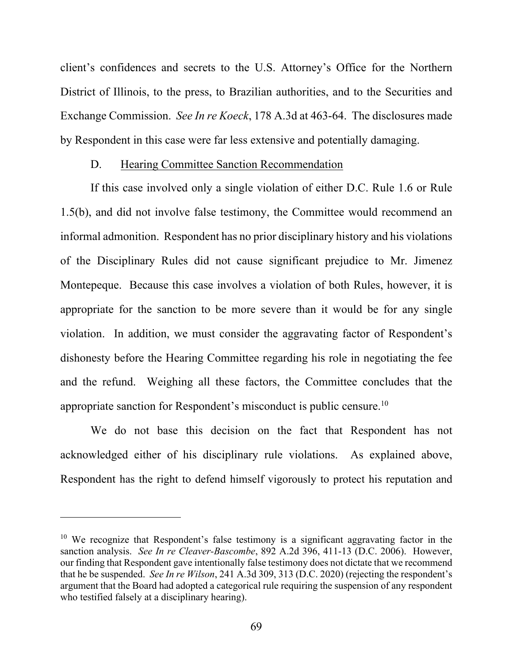client's confidences and secrets to the U.S. Attorney's Office for the Northern District of Illinois, to the press, to Brazilian authorities, and to the Securities and Exchange Commission. *See In re Koeck*, 178 A.3d at 463-64. The disclosures made by Respondent in this case were far less extensive and potentially damaging.

#### D. Hearing Committee Sanction Recommendation

If this case involved only a single violation of either D.C. Rule 1.6 or Rule 1.5(b), and did not involve false testimony, the Committee would recommend an informal admonition. Respondent has no prior disciplinary history and his violations of the Disciplinary Rules did not cause significant prejudice to Mr. Jimenez Montepeque. Because this case involves a violation of both Rules, however, it is appropriate for the sanction to be more severe than it would be for any single violation. In addition, we must consider the aggravating factor of Respondent's dishonesty before the Hearing Committee regarding his role in negotiating the fee and the refund. Weighing all these factors, the Committee concludes that the appropriate sanction for Respondent's misconduct is public censure.<sup>10</sup>

We do not base this decision on the fact that Respondent has not acknowledged either of his disciplinary rule violations. As explained above, Respondent has the right to defend himself vigorously to protect his reputation and

 $10$  We recognize that Respondent's false testimony is a significant aggravating factor in the sanction analysis. *See In re Cleaver-Bascombe*, 892 A.2d 396, 411-13 (D.C. 2006). However, our finding that Respondent gave intentionally false testimony does not dictate that we recommend that he be suspended. *See In re Wilson*, 241 A.3d 309, 313 (D.C. 2020) (rejecting the respondent's argument that the Board had adopted a categorical rule requiring the suspension of any respondent who testified falsely at a disciplinary hearing).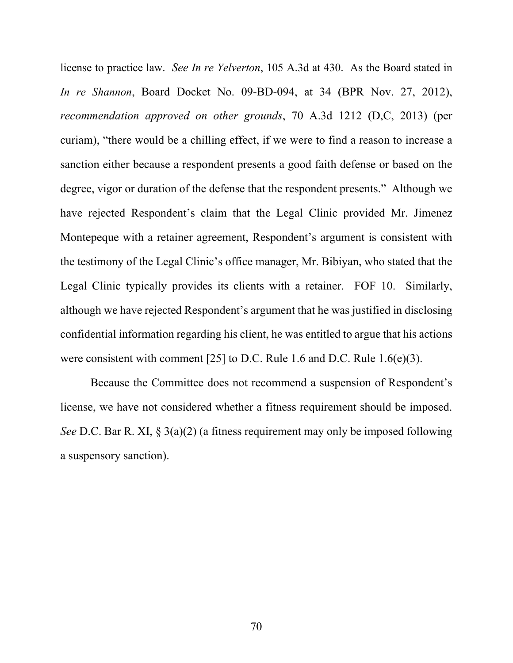license to practice law. *See In re Yelverton*, 105 A.3d at 430. As the Board stated in *In re Shannon*, Board Docket No. 09-BD-094, at 34 (BPR Nov. 27, 2012), *recommendation approved on other grounds*, 70 A.3d 1212 (D,C, 2013) (per curiam), "there would be a chilling effect, if we were to find a reason to increase a sanction either because a respondent presents a good faith defense or based on the degree, vigor or duration of the defense that the respondent presents." Although we have rejected Respondent's claim that the Legal Clinic provided Mr. Jimenez Montepeque with a retainer agreement, Respondent's argument is consistent with the testimony of the Legal Clinic's office manager, Mr. Bibiyan, who stated that the Legal Clinic typically provides its clients with a retainer. FOF 10. Similarly, although we have rejected Respondent's argument that he was justified in disclosing confidential information regarding his client, he was entitled to argue that his actions were consistent with comment [25] to D.C. Rule 1.6 and D.C. Rule 1.6(e)(3).

Because the Committee does not recommend a suspension of Respondent's license, we have not considered whether a fitness requirement should be imposed. *See* D.C. Bar R. XI, § 3(a)(2) (a fitness requirement may only be imposed following a suspensory sanction).